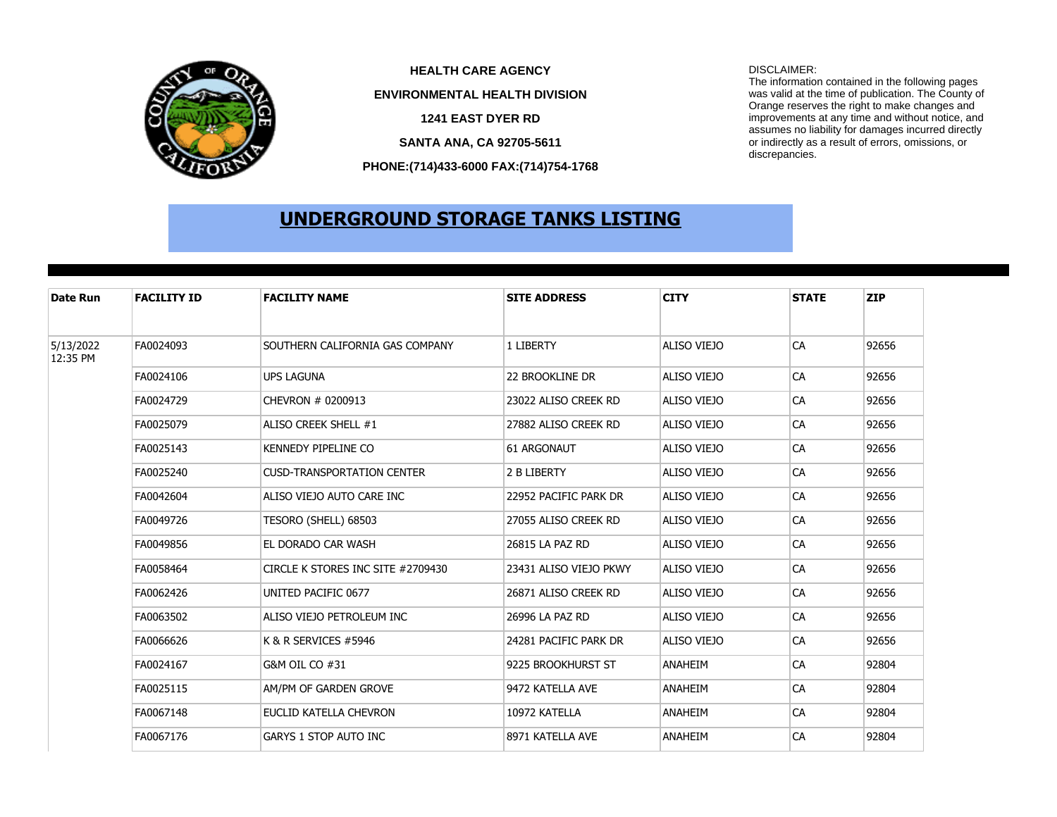

**PHONE:(714)433-6000 FAX:(714)754-1768 SANTA ANA, CA 92705-5611 HEALTH CARE AGENCY** DISCLAIMER: **1241 EAST DYER RD ENVIRONMENTAL HEALTH DIVISION**

The information contained in the following pages was valid at the time of publication. The County of Orange reserves the right to make changes and improvements at any time and without notice, and assumes no liability for damages incurred directly or indirectly as a result of errors, omissions, or discrepancies.

## **UNDERGROUND STORAGE TANKS LISTING**

| Date Run              | <b>FACILITY ID</b> | <b>FACILITY NAME</b>              | <b>SITE ADDRESS</b>    | <b>CITY</b>    | <b>STATE</b> | <b>ZIP</b> |
|-----------------------|--------------------|-----------------------------------|------------------------|----------------|--------------|------------|
| 5/13/2022<br>12:35 PM | FA0024093          | SOUTHERN CALIFORNIA GAS COMPANY   | 1 LIBERTY              | ALISO VIEJO    | <b>CA</b>    | 92656      |
|                       | FA0024106          | <b>UPS LAGUNA</b>                 | <b>22 BROOKLINE DR</b> | ALISO VIEJO    | CA           | 92656      |
|                       | FA0024729          | CHEVRON # 0200913                 | 23022 ALISO CREEK RD   | ALISO VIEJO    | CA           | 92656      |
|                       | FA0025079          | ALISO CREEK SHELL #1              | 27882 ALISO CREEK RD   | ALISO VIEJO    | CA           | 92656      |
|                       | FA0025143          | KENNEDY PIPELINE CO               | <b>61 ARGONAUT</b>     | ALISO VIEJO    | CA           | 92656      |
|                       | FA0025240          | <b>CUSD-TRANSPORTATION CENTER</b> | 2 B LIBERTY            | ALISO VIEJO    | CA           | 92656      |
|                       | FA0042604          | ALISO VIEJO AUTO CARE INC         | 22952 PACIFIC PARK DR  | ALISO VIEJO    | CA           | 92656      |
|                       | FA0049726          | TESORO (SHELL) 68503              | 27055 ALISO CREEK RD   | ALISO VIEJO    | <b>CA</b>    | 92656      |
|                       | FA0049856          | EL DORADO CAR WASH                | 26815 LA PAZ RD        | ALISO VIEJO    | CA           | 92656      |
|                       | FA0058464          | CIRCLE K STORES INC SITE #2709430 | 23431 ALISO VIEJO PKWY | ALISO VIEJO    | CA           | 92656      |
|                       | FA0062426          | UNITED PACIFIC 0677               | 26871 ALISO CREEK RD   | ALISO VIEJO    | CA           | 92656      |
|                       | FA0063502          | ALISO VIEJO PETROLEUM INC         | 26996 LA PAZ RD        | ALISO VIEJO    | CA           | 92656      |
|                       | FA0066626          | K & R SERVICES #5946              | 24281 PACIFIC PARK DR  | ALISO VIEJO    | CA           | 92656      |
|                       | FA0024167          | G&M OIL CO #31                    | 9225 BROOKHURST ST     | ANAHEIM        | CA           | 92804      |
|                       | FA0025115          | AM/PM OF GARDEN GROVE             | 9472 KATELLA AVE       | <b>ANAHEIM</b> | CA           | 92804      |
|                       | FA0067148          | EUCLID KATELLA CHEVRON            | 10972 KATELLA          | ANAHEIM        | CA           | 92804      |
|                       | FA0067176          | <b>GARYS 1 STOP AUTO INC</b>      | 8971 KATELLA AVE       | <b>ANAHEIM</b> | CA           | 92804      |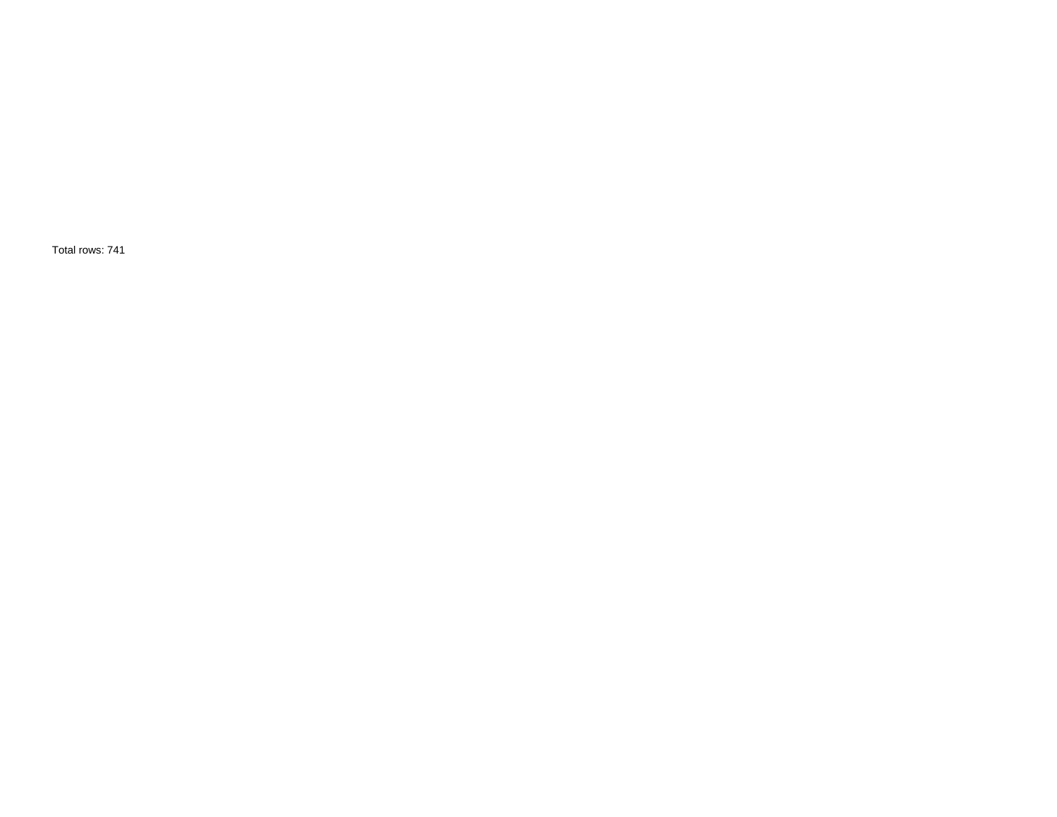Total rows: 741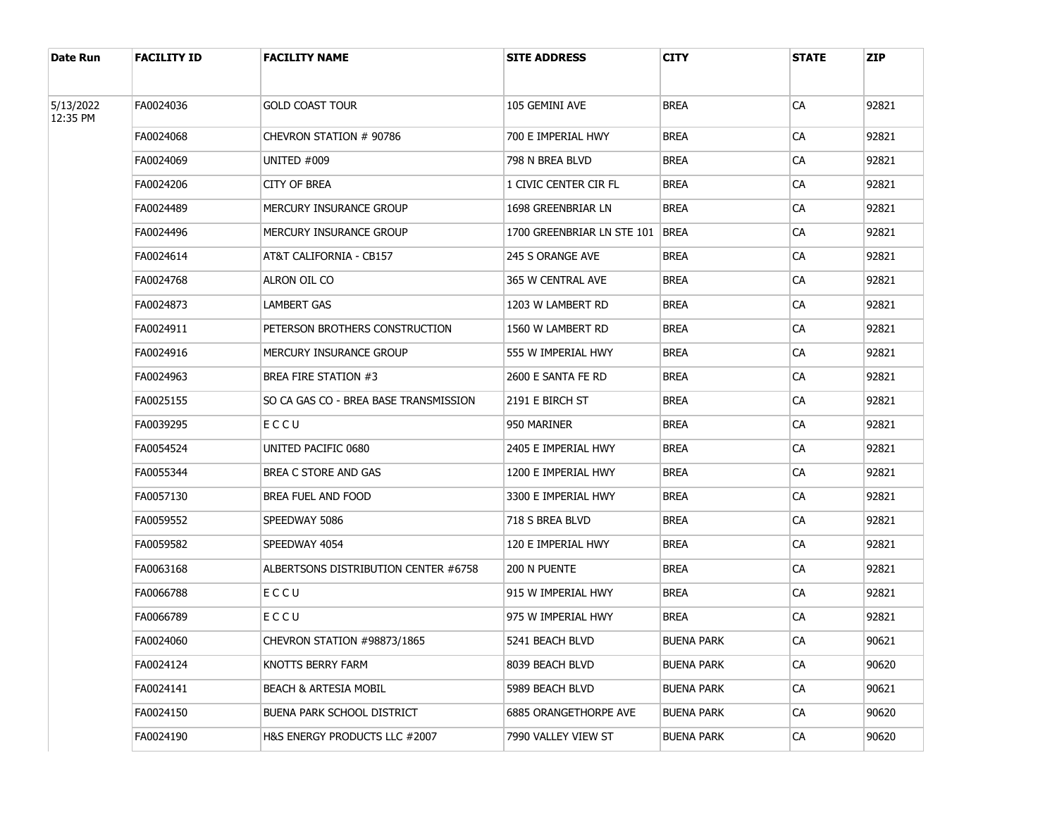| Date Run  | <b>FACILITY ID</b> | <b>FACILITY NAME</b>                  | <b>SITE ADDRESS</b>        | CITY              | <b>STATE</b> | <b>ZIP</b> |
|-----------|--------------------|---------------------------------------|----------------------------|-------------------|--------------|------------|
| 5/13/2022 | FA0024036          | <b>GOLD COAST TOUR</b>                | 105 GEMINI AVE             | <b>BREA</b>       | CA           | 92821      |
| 12:35 PM  | FA0024068          | CHEVRON STATION # 90786               | 700 E IMPERIAL HWY         | Brea              | <b>CA</b>    | 92821      |
|           | FA0024069          | UNITED #009                           | 798 N BREA BLVD            | Brea              | CA           | 92821      |
|           | FA0024206          | CITY OF BREA                          | 1 CIVIC CENTER CIR FL      | BREA              | <b>CA</b>    | 92821      |
|           | FA0024489          | MERCURY INSURANCE GROUP               | 1698 GREENBRIAR LN         | Brea              | CA           | 92821      |
|           | FA0024496          | MERCURY INSURANCE GROUP               | 1700 GREENBRIAR LN STE 101 | <b>BREA</b>       | <b>CA</b>    | 92821      |
|           | FA0024614          | AT&T CALIFORNIA - CB157               | 245 S ORANGE AVE           | Brea              | CA           | 92821      |
|           | FA0024768          | ALRON OIL CO                          | 365 W CENTRAL AVE          | BREA              | <b>CA</b>    | 92821      |
|           | FA0024873          | LAMBERT GAS                           | 1203 W LAMBERT RD          | Brea              | CA           | 92821      |
|           | FA0024911          | PETERSON BROTHERS CONSTRUCTION        | 1560 W LAMBERT RD          | BREA              | <b>CA</b>    | 92821      |
|           | FA0024916          | MERCURY INSURANCE GROUP               | 555 W IMPERIAL HWY         | Brea              | CA           | 92821      |
|           | FA0024963          | BREA FIRE STATION #3                  | 2600 E SANTA FE RD         | BREA              | <b>CA</b>    | 92821      |
|           | FA0025155          | SO CA GAS CO - BREA BASE TRANSMISSION | 2191 E BIRCH ST            | Brea              | CA           | 92821      |
|           | FA0039295          | ECCU                                  | 950 MARINER                | BREA              | CA           | 92821      |
|           | FA0054524          | UNITED PACIFIC 0680                   | 2405 E IMPERIAL HWY        | Brea              | CA           | 92821      |
|           | FA0055344          | BREA C STORE AND GAS                  | 1200 E IMPERIAL HWY        | BREA              | CA           | 92821      |
|           | FA0057130          | BREA FUEL AND FOOD                    | 3300 E IMPERIAL HWY        | Brea              | CA           | 92821      |
|           | FA0059552          | SPEEDWAY 5086                         | 718 S BREA BLVD            | BREA              | CA           | 92821      |
|           | FA0059582          | SPEEDWAY 4054                         | 120 E IMPERIAL HWY         | Brea              | CA           | 92821      |
|           | FA0063168          | ALBERTSONS DISTRIBUTION CENTER #6758  | 200 N PUENTE               | BREA              | CA           | 92821      |
|           | FA0066788          | ECCU                                  | 915 W IMPERIAL HWY         | Brea              | CA           | 92821      |
|           | FA0066789          | ECCU                                  | 975 W IMPERIAL HWY         | Brea              | CA           | 92821      |
|           | FA0024060          | CHEVRON STATION #98873/1865           | 5241 BEACH BLVD            | <b>BUENA PARK</b> | СA           | 90621      |
|           | FA0024124          | KNOTTS BERRY FARM                     | 8039 BEACH BLVD            | <b>BUENA PARK</b> | <b>CA</b>    | 90620      |
|           | FA0024141          | <b>BEACH &amp; ARTESIA MOBIL</b>      | 5989 BEACH BLVD            | <b>BUENA PARK</b> | CA           | 90621      |
|           | FA0024150          | <b>BUENA PARK SCHOOL DISTRICT</b>     | 6885 ORANGETHORPE AVE      | <b>BUENA PARK</b> | <b>CA</b>    | 90620      |
|           | FA0024190          | H&S ENERGY PRODUCTS LLC #2007         | 7990 VALLEY VIEW ST        | <b>BUENA PARK</b> | CA           | 90620      |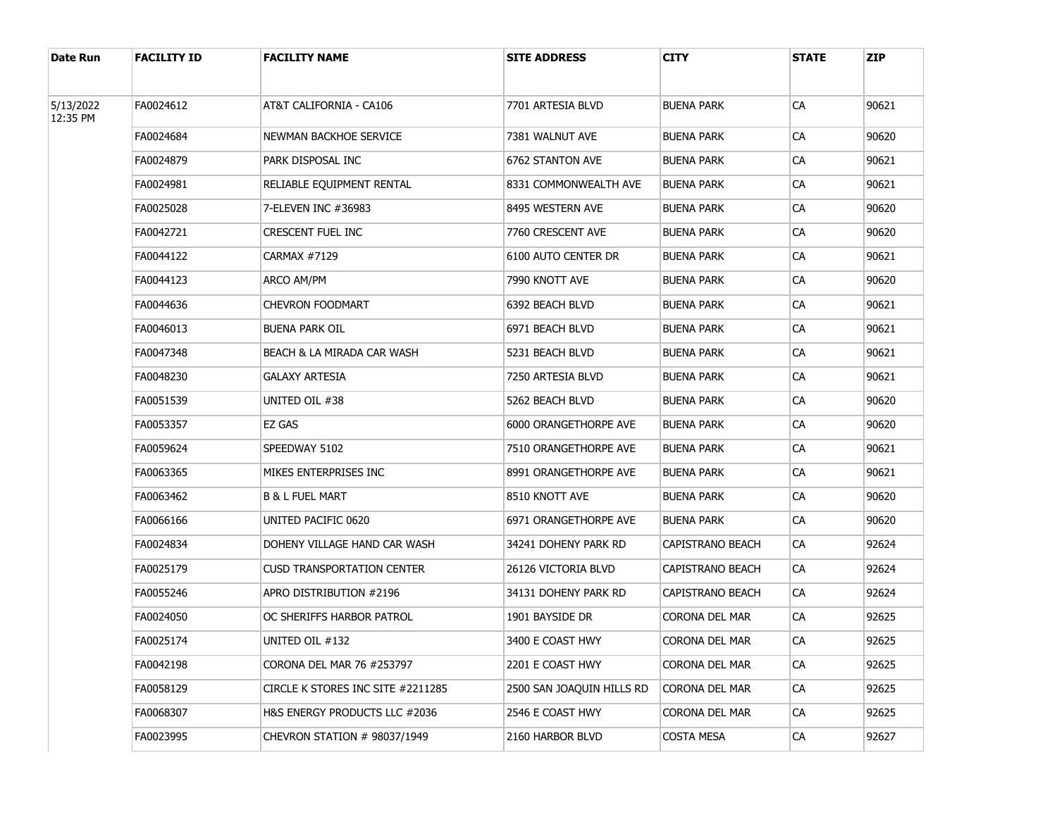| Date Run  | <b>FACILITY ID</b> | <b>FACILITY NAME</b>              | <b>SITE ADDRESS</b>       | CITY              | <b>STATE</b> | <b>ZIP</b> |
|-----------|--------------------|-----------------------------------|---------------------------|-------------------|--------------|------------|
| 5/13/2022 | FA0024612          | AT&T CALIFORNIA - CA106           | 7701 ARTESIA BLVD         | BUENA PARK        | СA           | 90621      |
| 12:35 PM  | FA0024684          | NEWMAN BACKHOE SERVICE            | 7381 WALNUT AVE           | <b>BUENA PARK</b> | CA           | 90620      |
|           | FA0024879          | PARK DISPOSAL INC                 | 6762 STANTON AVE          | BUENA PARK        | CA           | 90621      |
|           | FA0024981          | RELIABLE EQUIPMENT RENTAL         | 8331 COMMONWEALTH AVE     | BUENA PARK        | CA           | 90621      |
|           | FA0025028          | 7-ELEVEN INC #36983               | 8495 WESTERN AVE          | BUENA PARK        | CA           | 90620      |
|           | FA0042721          | CRESCENT FUEL INC                 | 7760 CRESCENT AVE         | BUENA PARK        | CA           | 90620      |
|           | FA0044122          | CARMAX #7129                      | 6100 AUTO CENTER DR       | BUENA PARK        | CA           | 90621      |
|           | FA0044123          | ARCO AM/PM                        | 7990 KNOTT AVE            | BUENA PARK        | CA           | 90620      |
|           | FA0044636          | <b>CHEVRON FOODMART</b>           | 6392 BEACH BLVD           | BUENA PARK        | CA           | 90621      |
|           | FA0046013          | <b>BUENA PARK OIL</b>             | 6971 BEACH BLVD           | BUENA PARK        | CA           | 90621      |
|           | FA0047348          | BEACH & LA MIRADA CAR WASH        | 5231 BEACH BLVD           | BUENA PARK        | CA           | 90621      |
|           | FA0048230          | <b>GALAXY ARTESIA</b>             | 7250 ARTESIA BLVD         | BUENA PARK        | СA           | 90621      |
|           | FA0051539          | UNITED OIL #38                    | 5262 BEACH BLVD           | BUENA PARK        | CA           | 90620      |
|           | FA0053357          | EZ GAS                            | 6000 ORANGETHORPE AVE     | BUENA PARK        | СA           | 90620      |
|           | FA0059624          | SPEEDWAY 5102                     | 7510 ORANGETHORPE AVE     | BUENA PARK        | CA           | 90621      |
|           | FA0063365          | MIKES ENTERPRISES INC             | 8991 ORANGETHORPE AVE     | BUENA PARK        | CA           | 90621      |
|           | FA0063462          | <b>B &amp; L FUEL MART</b>        | 8510 KNOTT AVE            | BUENA PARK        | CA           | 90620      |
|           | FA0066166          | UNITED PACIFIC 0620               | 6971 ORANGETHORPE AVE     | BUENA PARK        | CA           | 90620      |
|           | FA0024834          | DOHENY VILLAGE HAND CAR WASH      | 34241 Doheny Park RD      | CAPISTRANO BEACH  | CA           | 92624      |
|           | FA0025179          | <b>CUSD TRANSPORTATION CENTER</b> | 26126 VICTORIA BLVD       | CAPISTRANO BEACH  | CA           | 92624      |
|           | FA0055246          | APRO DISTRIBUTION #2196           | 34131 DOHENY PARK RD      | CAPISTRANO BEACH  | CA           | 92624      |
|           | FA0024050          | OC SHERIFFS HARBOR PATROL         | 1901 BAYSIDE DR           | Corona del Mar    | СA           | 92625      |
|           | FA0025174          | UNITED OIL #132                   | 3400 E COAST HWY          | CORONA DEL MAR    | CA           | 92625      |
|           | FA0042198          | CORONA DEL MAR 76 #253797         | 2201 E COAST HWY          | CORONA DEL MAR    | <b>CA</b>    | 92625      |
|           | FA0058129          | CIRCLE K STORES INC SITE #2211285 | 2500 SAN JOAQUIN HILLS RD | CORONA DEL MAR    | CA           | 92625      |
|           | FA0068307          | H&S ENERGY PRODUCTS LLC #2036     | 2546 E COAST HWY          | CORONA DEL MAR    | CA           | 92625      |
|           | FA0023995          | CHEVRON STATION # 98037/1949      | 2160 HARBOR BLVD          | <b>COSTA MESA</b> | CA           | 92627      |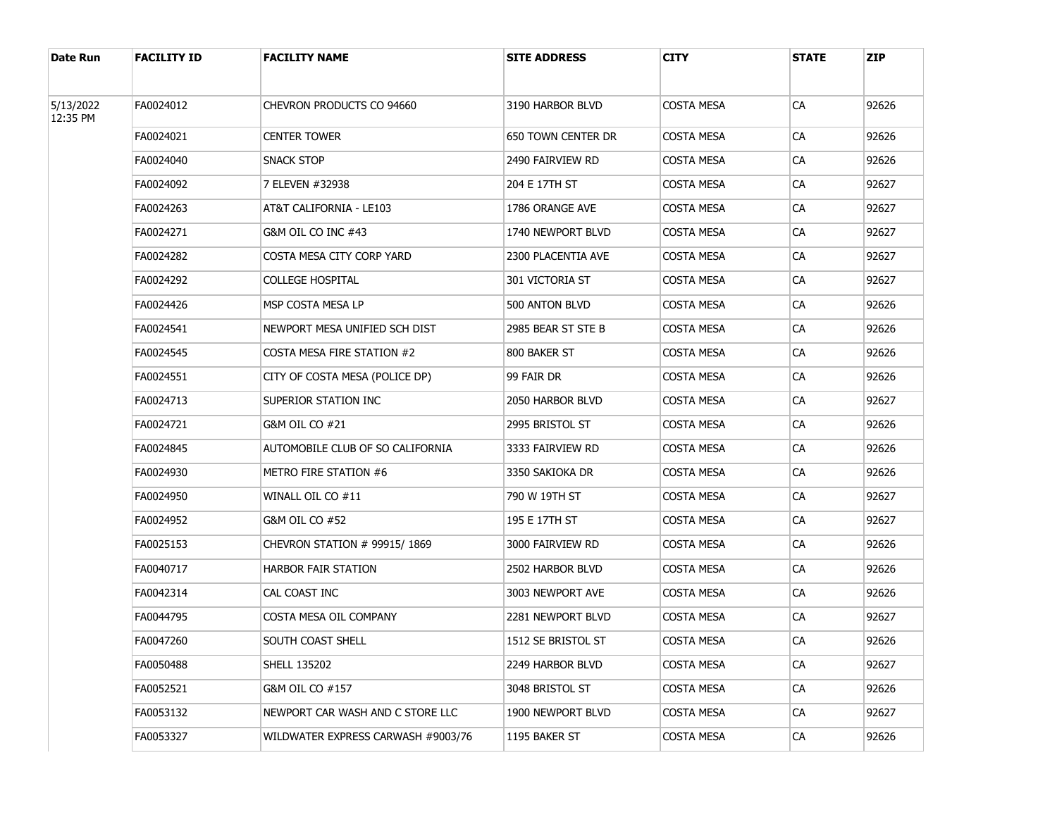| Date Run  | <b>FACILITY ID</b> | <b>FACILITY NAME</b>               | <b>SITE ADDRESS</b> | CITY              | <b>STATE</b> | <b>ZIP</b> |
|-----------|--------------------|------------------------------------|---------------------|-------------------|--------------|------------|
| 5/13/2022 | FA0024012          | CHEVRON PRODUCTS CO 94660          | 3190 HARBOR BLVD    | COSTA MESA        | CA           | 92626      |
| 12:35 PM  | FA0024021          | <b>CENTER TOWER</b>                | 650 TOWN CENTER DR  | COSTA MESA        | <b>CA</b>    | 92626      |
|           | FA0024040          | SNACK STOP                         | 2490 FAIRVIEW RD    | COSTA MESA        | CA           | 92626      |
|           | FA0024092          | 7 ELEVEN #32938                    | 204 E 17TH ST       | COSTA MESA        | <b>CA</b>    | 92627      |
|           | FA0024263          | AT&T CALIFORNIA - LE103            | 1786 ORANGE AVE     | COSTA MESA        | CA           | 92627      |
|           | FA0024271          | G&M OIL CO INC #43                 | 1740 NEWPORT BLVD   | COSTA MESA        | <b>CA</b>    | 92627      |
|           | FA0024282          | COSTA MESA CITY CORP YARD          | 2300 PLACENTIA AVE  | COSTA MESA        | CA           | 92627      |
|           | FA0024292          | COLLEGE HOSPITAL                   | 301 VICTORIA ST     | COSTA MESA        | <b>CA</b>    | 92627      |
|           | FA0024426          | MSP COSTA MESA LP                  | 500 ANTON BLVD      | COSTA MESA        | CA           | 92626      |
|           | FA0024541          | NEWPORT MESA UNIFIED SCH DIST      | 2985 BEAR ST STE B  | COSTA MESA        | <b>CA</b>    | 92626      |
|           | FA0024545          | COSTA MESA FIRE STATION #2         | 800 BAKER ST        | COSTA MESA        | CA           | 92626      |
|           | FA0024551          | CITY OF COSTA MESA (POLICE DP)     | 99 FAIR DR          | COSTA MESA        | CA           | 92626      |
|           | FA0024713          | SUPERIOR STATION INC               | 2050 HARBOR BLVD    | COSTA MESA        | CA           | 92627      |
|           | FA0024721          | G&M OIL CO #21                     | 2995 BRISTOL ST     | COSTA MESA        | CA           | 92626      |
|           | FA0024845          | AUTOMOBILE CLUB OF SO CALIFORNIA   | 3333 FAIRVIEW RD    | COSTA MESA        | CA           | 92626      |
|           | FA0024930          | METRO FIRE STATION #6              | 3350 SAKIOKA DR     | COSTA MESA        | CA           | 92626      |
|           | FA0024950          | WINALL OIL CO #11                  | 790 W 19TH ST       | COSTA MESA        | CA           | 92627      |
|           | FA0024952          | G&M OIL CO #52                     | 195 E 17TH ST       | COSTA MESA        | CA           | 92627      |
|           | FA0025153          | CHEVRON STATION # 99915/1869       | 3000 FAIRVIEW RD    | COSTA MESA        | CA           | 92626      |
|           | FA0040717          | <b>HARBOR FAIR STATION</b>         | 2502 HARBOR BLVD    | COSTA MESA        | CA           | 92626      |
|           | FA0042314          | CAL COAST INC                      | 3003 NEWPORT AVE    | <b>COSTA MESA</b> | CA           | 92626      |
|           | FA0044795          | COSTA MESA OIL COMPANY             | 2281 NEWPORT BLVD   | COSTA MESA        | CA           | 92627      |
|           | FA0047260          | SOUTH COAST SHELL                  | 1512 SE BRISTOL ST  | <b>COSTA MESA</b> | СA           | 92626      |
|           | FA0050488          | <b>SHELL 135202</b>                | 2249 HARBOR BLVD    | <b>COSTA MESA</b> | <b>CA</b>    | 92627      |
|           | FA0052521          | G&M OIL CO #157                    | 3048 BRISTOL ST     | <b>COSTA MESA</b> | CA           | 92626      |
|           | FA0053132          | NEWPORT CAR WASH AND C STORE LLC   | 1900 NEWPORT BLVD   | COSTA MESA        | <b>CA</b>    | 92627      |
|           | FA0053327          | WILDWATER EXPRESS CARWASH #9003/76 | 1195 BAKER ST       | <b>COSTA MESA</b> | CA           | 92626      |
|           |                    |                                    |                     |                   |              |            |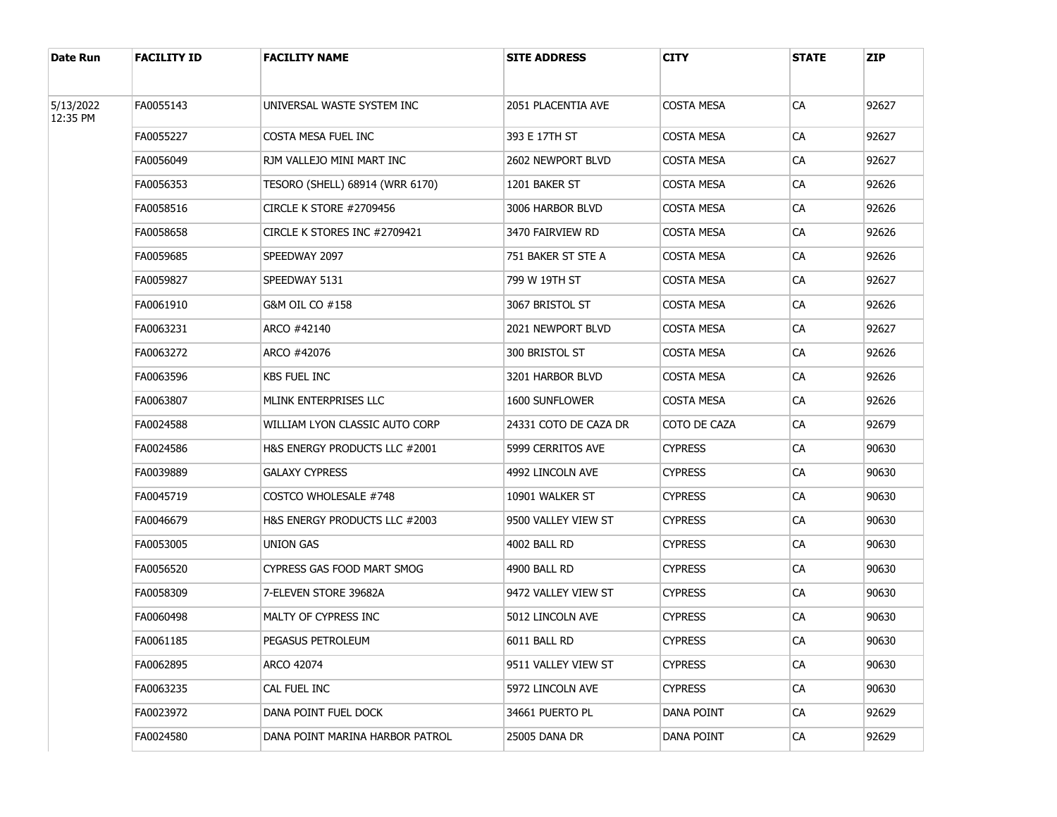| Date Run  | <b>FACILITY ID</b> | <b>FACILITY NAME</b>            | <b>SITE ADDRESS</b>   | CITY           | <b>STATE</b> | <b>ZIP</b> |
|-----------|--------------------|---------------------------------|-----------------------|----------------|--------------|------------|
| 5/13/2022 | FA0055143          | UNIVERSAL WASTE SYSTEM INC      | 2051 PLACENTIA AVE    | COSTA MESA     | CA           | 92627      |
| 12:35 PM  | FA0055227          | COSTA MESA FUEL INC             | 393 E 17TH ST         | COSTA MESA     | <b>CA</b>    | 92627      |
|           | FA0056049          | RJM VALLEJO MINI MART INC       | 2602 NEWPORT BLVD     | COSTA MESA     | CA           | 92627      |
|           | FA0056353          | TESORO (SHELL) 68914 (WRR 6170) | 1201 BAKER ST         | COSTA MESA     | <b>CA</b>    | 92626      |
|           | FA0058516          | CIRCLE K STORE #2709456         | 3006 HARBOR BLVD      | COSTA MESA     | CA           | 92626      |
|           | FA0058658          | CIRCLE K STORES INC #2709421    | 3470 FAIRVIEW RD      | COSTA MESA     | <b>CA</b>    | 92626      |
|           | FA0059685          | SPEEDWAY 2097                   | 751 BAKER ST STE A    | COSTA MESA     | CA           | 92626      |
|           | FA0059827          | SPEEDWAY 5131                   | 799 W 19TH ST         | COSTA MESA     | <b>CA</b>    | 92627      |
|           | FA0061910          | G&M OIL CO #158                 | 3067 BRISTOL ST       | COSTA MESA     | CA           | 92626      |
|           | FA0063231          | ARCO #42140                     | 2021 NEWPORT BLVD     | COSTA MESA     | <b>CA</b>    | 92627      |
|           | FA0063272          | ARCO #42076                     | 300 BRISTOL ST        | COSTA MESA     | CA           | 92626      |
|           | FA0063596          | KBS FUEL INC                    | 3201 HARBOR BLVD      | COSTA MESA     | CA           | 92626      |
|           | FA0063807          | MLINK ENTERPRISES LLC           | 1600 SUNFLOWER        | COSTA MESA     | CA           | 92626      |
|           | FA0024588          | WILLIAM LYON CLASSIC AUTO CORP  | 24331 COTO DE CAZA DR | COTO DE CAZA   | CA           | 92679      |
|           | FA0024586          | H&S ENERGY PRODUCTS LLC #2001   | 5999 CERRITOS AVE     | <b>CYPRESS</b> | CA           | 90630      |
|           | FA0039889          | <b>GALAXY CYPRESS</b>           | 4992 LINCOLN AVE      | <b>CYPRESS</b> | CA           | 90630      |
|           | FA0045719          | COSTCO WHOLESALE #748           | 10901 WALKER ST       | <b>CYPRESS</b> | CA           | 90630      |
|           | FA0046679          | H&S ENERGY PRODUCTS LLC #2003   | 9500 VALLEY VIEW ST   | <b>CYPRESS</b> | CA           | 90630      |
|           | FA0053005          | UNION GAS                       | 4002 BALL RD          | <b>CYPRESS</b> | CA           | 90630      |
|           | FA0056520          | CYPRESS GAS FOOD MART SMOG      | 4900 BALL RD          | <b>CYPRESS</b> | CA           | 90630      |
|           | FA0058309          | 7-ELEVEN STORE 39682A           | 9472 VALLEY VIEW ST   | <b>CYPRESS</b> | CA           | 90630      |
|           | FA0060498          | MALTY OF CYPRESS INC            | 5012 LINCOLN AVE      | <b>CYPRESS</b> | CA           | 90630      |
|           | FA0061185          | PEGASUS PETROLEUM               | 6011 BALL RD          | <b>CYPRESS</b> | СA           | 90630      |
|           | FA0062895          | ARCO 42074                      | 9511 VALLEY VIEW ST   | <b>CYPRESS</b> | <b>CA</b>    | 90630      |
|           | FA0063235          | cal fuel inc                    | 5972 LINCOLN AVE      | <b>CYPRESS</b> | CA           | 90630      |
|           | FA0023972          | DANA POINT FUEL DOCK            | 34661 PUERTO PL       | DANA POINT     | <b>CA</b>    | 92629      |
|           | FA0024580          | DANA POINT MARINA HARBOR PATROL | 25005 DANA DR         | DANA POINT     | CA           | 92629      |
|           |                    |                                 |                       |                |              |            |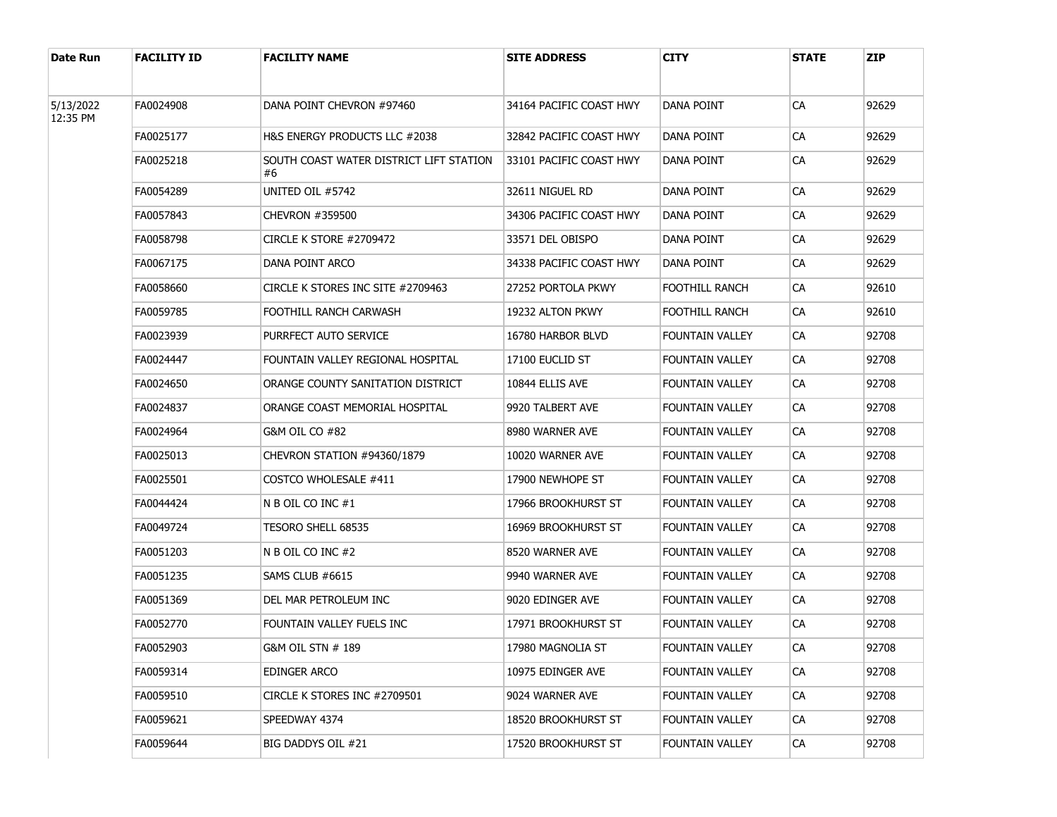| Date Run              | <b>FACILITY ID</b> | <b>FACILITY NAME</b>                          | <b>SITE ADDRESS</b>     | CITY                   | <b>STATE</b> | <b>ZIP</b> |
|-----------------------|--------------------|-----------------------------------------------|-------------------------|------------------------|--------------|------------|
| 5/13/2022<br>12:35 PM | FA0024908          | DANA POINT CHEVRON #97460                     | 34164 PACIFIC COAST HWY | DANA POINT             | CA           | 92629      |
|                       | FA0025177          | H&S ENERGY PRODUCTS LLC #2038                 | 32842 PACIFIC COAST HWY | DANA POINT             | CA           | 92629      |
|                       | FA0025218          | SOUTH COAST WATER DISTRICT LIFT STATION<br>#6 | 33101 PACIFIC COAST HWY | DANA POINT             | CA           | 92629      |
|                       | FA0054289          | UNITED OIL #5742                              | 32611 NIGUEL RD         | DANA POINT             | CA           | 92629      |
|                       | FA0057843          | CHEVRON #359500                               | 34306 PACIFIC COAST HWY | DANA POINT             | СA           | 92629      |
|                       | FA0058798          | CIRCLE K STORE #2709472                       | 33571 DEL OBISPO        | DANA POINT             | СA           | 92629      |
|                       | FA0067175          | DANA POINT ARCO                               | 34338 PACIFIC COAST HWY | DANA POINT             | СA           | 92629      |
|                       | FA0058660          | CIRCLE K STORES INC SITE #2709463             | 27252 PORTOLA PKWY      | FOOTHILL RANCH         | СA           | 92610      |
|                       | FA0059785          | FOOTHILL RANCH CARWASH                        | 19232 ALTON PKWY        | FOOTHILL RANCH         | СA           | 92610      |
|                       | FA0023939          | PURRFECT AUTO SERVICE                         | 16780 HARBOR BLVD       | FOUNTAIN VALLEY        | СA           | 92708      |
|                       | FA0024447          | FOUNTAIN VALLEY REGIONAL HOSPITAL             | 17100 EUCLID ST         | FOUNTAIN VALLEY        | СA           | 92708      |
|                       | FA0024650          | ORANGE COUNTY SANITATION DISTRICT             | 10844 ELLIS AVE         | <b>FOUNTAIN VALLEY</b> | СA           | 92708      |
|                       | FA0024837          | ORANGE COAST MEMORIAL HOSPITAL                | 9920 TALBERT AVE        | FOUNTAIN VALLEY        | СA           | 92708      |
|                       | FA0024964          | G&M OIL CO #82                                | 8980 WARNER AVE         | FOUNTAIN VALLEY        | СA           | 92708      |
|                       | FA0025013          | CHEVRON STATION #94360/1879                   | 10020 WARNER AVE        | FOUNTAIN VALLEY        | СA           | 92708      |
|                       | FA0025501          | COSTCO WHOLESALE #411                         | 17900 NEWHOPE ST        | FOUNTAIN VALLEY        | СA           | 92708      |
|                       | FA0044424          | N B OIL CO INC #1                             | 17966 Brookhurst St     | FOUNTAIN VALLEY        | СA           | 92708      |
|                       | FA0049724          | TESORO SHELL 68535                            | 16969 Brookhurst St     | FOUNTAIN VALLEY        | СA           | 92708      |
|                       | FA0051203          | N B OIL CO INC #2                             | 8520 WARNER AVE         | FOUNTAIN VALLEY        | CA           | 92708      |
|                       | FA0051235          | SAMS CLUB #6615                               | 9940 WARNER AVE         | FOUNTAIN VALLEY        | СA           | 92708      |
|                       | FA0051369          | DEL MAR PETROLEUM INC                         | 9020 EDINGER AVE        | FOUNTAIN VALLEY        | CA           | 92708      |
|                       | FA0052770          | FOUNTAIN VALLEY FUELS INC                     | 17971 BROOKHURST ST     | FOUNTAIN VALLEY        | СA           | 92708      |
|                       | FA0052903          | G&M OIL STN # 189                             | 17980 MAGNOLIA ST       | FOUNTAIN VALLEY        | ${\sf CA}$   | 92708      |
|                       | FA0059314          | EDINGER ARCO                                  | 10975 EDINGER AVE       | FOUNTAIN VALLEY        | <b>CA</b>    | 92708      |
|                       | FA0059510          | CIRCLE K STORES INC #2709501                  | 9024 WARNER AVE         | FOUNTAIN VALLEY        | <b>CA</b>    | 92708      |
|                       | FA0059621          | SPEEDWAY 4374                                 | 18520 BROOKHURST ST     | FOUNTAIN VALLEY        | CA           | 92708      |
|                       | FA0059644          | BIG DADDYS OIL #21                            | 17520 BROOKHURST ST     | FOUNTAIN VALLEY        | CA           | 92708      |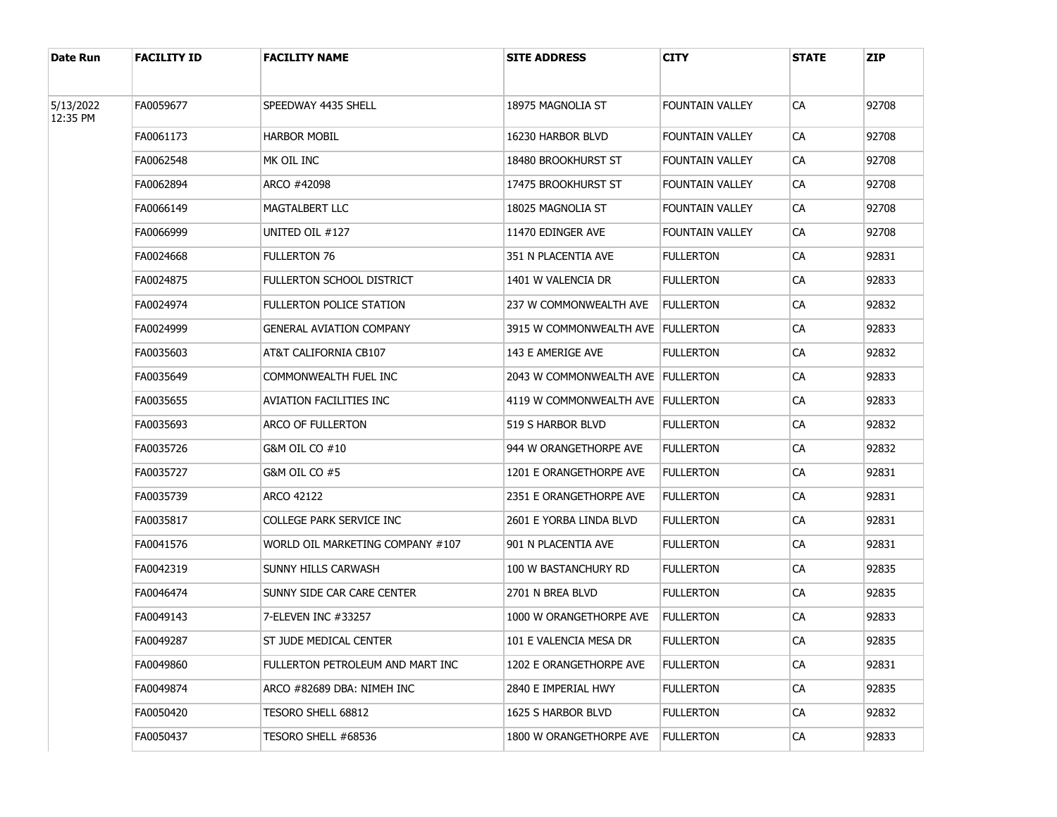| Date Run              | <b>FACILITY ID</b> | <b>FACILITY NAME</b>             | <b>SITE ADDRESS</b>                 | <b>CITY</b>            | <b>STATE</b> | <b>ZIP</b> |
|-----------------------|--------------------|----------------------------------|-------------------------------------|------------------------|--------------|------------|
|                       |                    |                                  |                                     |                        |              |            |
| 5/13/2022<br>12:35 PM | FA0059677          | SPEEDWAY 4435 SHELL              | 18975 MAGNOLIA ST                   | FOUNTAIN VALLEY        | CA           | 92708      |
|                       | FA0061173          | <b>HARBOR MOBIL</b>              | 16230 HARBOR BLVD                   | FOUNTAIN VALLEY        | <b>CA</b>    | 92708      |
|                       | FA0062548          | MK OIL INC                       | 18480 BROOKHURST ST                 | FOUNTAIN VALLEY        | CA           | 92708      |
|                       | FA0062894          | ARCO #42098                      | 17475 BROOKHURST ST                 | FOUNTAIN VALLEY        | CA           | 92708      |
|                       | FA0066149          | MAGTALBERT LLC                   | 18025 MAGNOLIA ST                   | <b>FOUNTAIN VALLEY</b> | CA           | 92708      |
|                       | FA0066999          | UNITED OIL #127                  | 11470 EDINGER AVE                   | FOUNTAIN VALLEY        | CA           | 92708      |
|                       | FA0024668          | <b>FULLERTON 76</b>              | 351 N PLACENTIA AVE                 | <b>FULLERTON</b>       | CA           | 92831      |
|                       | FA0024875          | <b>FULLERTON SCHOOL DISTRICT</b> | 1401 W VALENCIA DR                  | <b>FULLERTON</b>       | CA           | 92833      |
|                       | FA0024974          | <b>FULLERTON POLICE STATION</b>  | 237 W COMMONWEALTH AVE              | <b>FULLERTON</b>       | CA           | 92832      |
|                       | FA0024999          | <b>GENERAL AVIATION COMPANY</b>  | 3915 W COMMONWEALTH AVE   FULLERTON |                        | CA           | 92833      |
|                       | FA0035603          | AT&T CALIFORNIA CB107            | 143 E AMERIGE AVE                   | <b>FULLERTON</b>       | <b>CA</b>    | 92832      |
|                       | FA0035649          | COMMONWEALTH FUEL INC            | 2043 W COMMONWEALTH AVE FULLERTON   |                        | СA           | 92833      |
|                       | FA0035655          | AVIATION FACILITIES INC          | 4119 W COMMONWEALTH AVE FULLERTON   |                        | <b>CA</b>    | 92833      |
|                       | FA0035693          | ARCO OF FULLERTON                | 519 S HARBOR BLVD                   | <b>FULLERTON</b>       | СA           | 92832      |
|                       | FA0035726          | G&M OIL CO #10                   | 944 W ORANGETHORPE AVE              | <b>FULLERTON</b>       | <b>CA</b>    | 92832      |
|                       | FA0035727          | G&M OIL CO #5                    | 1201 E ORANGETHORPE AVE             | <b>FULLERTON</b>       | СA           | 92831      |
|                       | FA0035739          | ARCO 42122                       | 2351 E ORANGETHORPE AVE             | <b>FULLERTON</b>       | CA           | 92831      |
|                       | FA0035817          | COLLEGE PARK SERVICE INC         | 2601 E YORBA LINDA BLVD             | <b>FULLERTON</b>       | СA           | 92831      |
|                       | FA0041576          | WORLD OIL MARKETING COMPANY #107 | 901 N PLACENTIA AVE                 | <b>FULLERTON</b>       | CA           | 92831      |
|                       | FA0042319          | SUNNY HILLS CARWASH              | 100 W BASTANCHURY RD                | <b>FULLERTON</b>       | СA           | 92835      |
|                       | FA0046474          | SUNNY SIDE CAR CARE CENTER       | 2701 N BREA BLVD                    | <b>FULLERTON</b>       | СA           | 92835      |
|                       | FA0049143          | 7-ELEVEN INC #33257              | 1000 W ORANGETHORPE AVE             | <b>FULLERTON</b>       | СA           | 92833      |
|                       | FA0049287          | ST JUDE MEDICAL CENTER           | 101 E VALENCIA MESA DR              | <b>FULLERTON</b>       | СA           | 92835      |
|                       | FA0049860          | FULLERTON PETROLEUM AND MART INC | 1202 E ORANGETHORPE AVE             | <b>FULLERTON</b>       | CA           | 92831      |
|                       | FA0049874          | ARCO #82689 DBA: NIMEH INC       | 2840 E IMPERIAL HWY                 | <b>FULLERTON</b>       | CA           | 92835      |
|                       | FA0050420          | TESORO SHELL 68812               | 1625 S HARBOR BLVD                  | <b>FULLERTON</b>       | <b>CA</b>    | 92832      |
|                       | FA0050437          | TESORO SHELL #68536              | 1800 W ORANGETHORPE AVE             | <b>FULLERTON</b>       | CA           | 92833      |
|                       |                    |                                  |                                     |                        |              |            |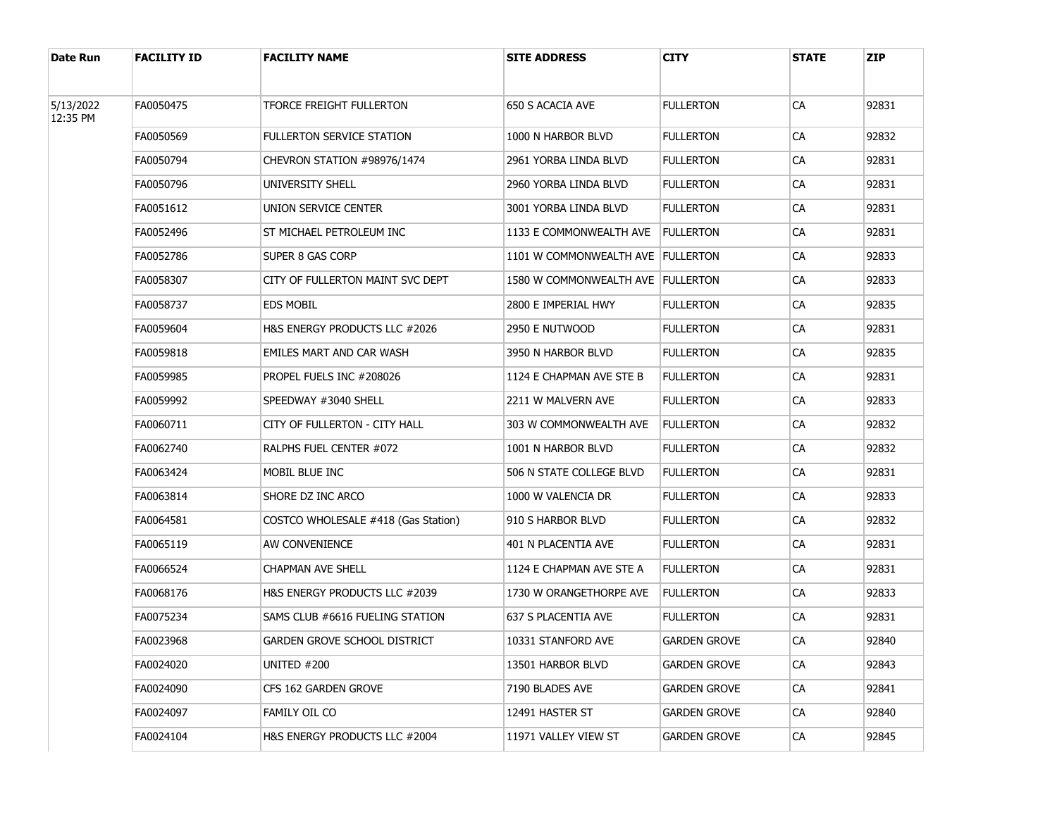| Date Run              | <b>FACILITY ID</b> | <b>FACILITY NAME</b>                     | <b>SITE ADDRESS</b>               | <b>CITY</b>      | <b>STATE</b> | <b>ZIP</b> |
|-----------------------|--------------------|------------------------------------------|-----------------------------------|------------------|--------------|------------|
| 5/13/2022<br>12:35 PM | FA0050475          | TFORCE FREIGHT FULLERTON                 | 650 S ACACIA AVE                  | <b>FULLERTON</b> | CA           | 92831      |
|                       | FA0050569          | <b>FULLERTON SERVICE STATION</b>         | 1000 N HARBOR BLVD                | FULLERTON        | <b>CA</b>    | 92832      |
|                       | FA0050794          | CHEVRON STATION #98976/1474              | 2961 YORBA LINDA BLVD             | FULLERTON        | CA           | 92831      |
|                       | FA0050796          | UNIVERSITY SHELL                         | 2960 YORBA LINDA BLVD             | Fullerton        | CA           | 92831      |
|                       | FA0051612          | UNION SERVICE CENTER                     | 3001 YORBA LINDA BLVD             | Fullerton        | <b>CA</b>    | 92831      |
|                       | FA0052496          | ST MICHAEL PETROLEUM INC                 | 1133 E COMMONWEALTH AVE           | <b>FULLERTON</b> | CA           | 92831      |
|                       | FA0052786          | SUPER 8 GAS CORP                         | 1101 W COMMONWEALTH AVE FULLERTON |                  | <b>CA</b>    | 92833      |
|                       | FA0058307          | CITY OF FULLERTON MAINT SVC DEPT         | 1580 W COMMONWEALTH AVE FULLERTON |                  | CA           | 92833      |
|                       | FA0058737          | <b>EDS MOBIL</b>                         | 2800 E IMPERIAL HWY               | FULLERTON        | <b>CA</b>    | 92835      |
|                       | FA0059604          | <b>H&amp;S ENERGY PRODUCTS LLC #2026</b> | 2950 E NUTWOOD                    | Fullerton        | CA           | 92831      |
|                       | FA0059818          | EMILES MART AND CAR WASH                 | 3950 N HARBOR BLVD                | Fullerton        | <b>CA</b>    | 92835      |
|                       | FA0059985          | PROPEL FUELS INC #208026                 | 1124 E CHAPMAN AVE STE B          | Fullerton        | <b>CA</b>    | 92831      |
|                       | FA0059992          | SPEEDWAY #3040 SHELL                     | 2211 W MALVERN AVE                | FULLERTON        | <b>CA</b>    | 92833      |
|                       | FA0060711          | CITY OF FULLERTON - CITY HALL            | 303 W COMMONWEALTH AVE            | <b>FULLERTON</b> | <b>CA</b>    | 92832      |
|                       | FA0062740          | RALPHS FUEL CENTER #072                  | 1001 N HARBOR BLVD                | FULLERTON        | <b>CA</b>    | 92832      |
|                       | FA0063424          | MOBIL BLUE INC                           | 506 N STATE COLLEGE BLVD          | Fullerton        | <b>CA</b>    | 92831      |
|                       | FA0063814          | SHORE DZ INC ARCO                        | 1000 W VALENCIA DR                | FULLERTON        | <b>CA</b>    | 92833      |
|                       | FA0064581          | COSTCO WHOLESALE #418 (Gas Station)      | 910 S HARBOR BLVD                 | Fullerton        | <b>CA</b>    | 92832      |
|                       | FA0065119          | AW CONVENIENCE                           | 401 N PLACENTIA AVE               | FULLERTON        | <b>CA</b>    | 92831      |
|                       | FA0066524          | CHAPMAN AVE SHELL                        | 1124 E CHAPMAN AVE STE A          | <b>FULLERTON</b> | CA           | 92831      |
|                       | FA0068176          | H&S ENERGY PRODUCTS LLC #2039            | 1730 W ORANGETHORPE AVE           | <b>FULLERTON</b> | <b>CA</b>    | 92833      |
|                       | FA0075234          | SAMS CLUB #6616 FUELING STATION          | 637 S PLACENTIA AVE               | Fullerton        | CA           | 92831      |
|                       | FA0023968          | <b>GARDEN GROVE SCHOOL DISTRICT</b>      | 10331 STANFORD AVE                | GARDEN GROVE     | СA           | 92840      |
|                       | FA0024020          | UNITED #200                              | 13501 HARBOR BLVD                 | GARDEN GROVE     | <b>CA</b>    | 92843      |
|                       | FA0024090          | CFS 162 GARDEN GROVE                     | 7190 BLADES AVE                   | GARDEN GROVE     | CA           | 92841      |
|                       | FA0024097          | FAMILY OIL CO                            | 12491 HASTER ST                   | GARDEN GROVE     | <b>CA</b>    | 92840      |
|                       | FA0024104          | H&S ENERGY PRODUCTS LLC #2004            | 11971 VALLEY VIEW ST              | GARDEN GROVE     | CA           | 92845      |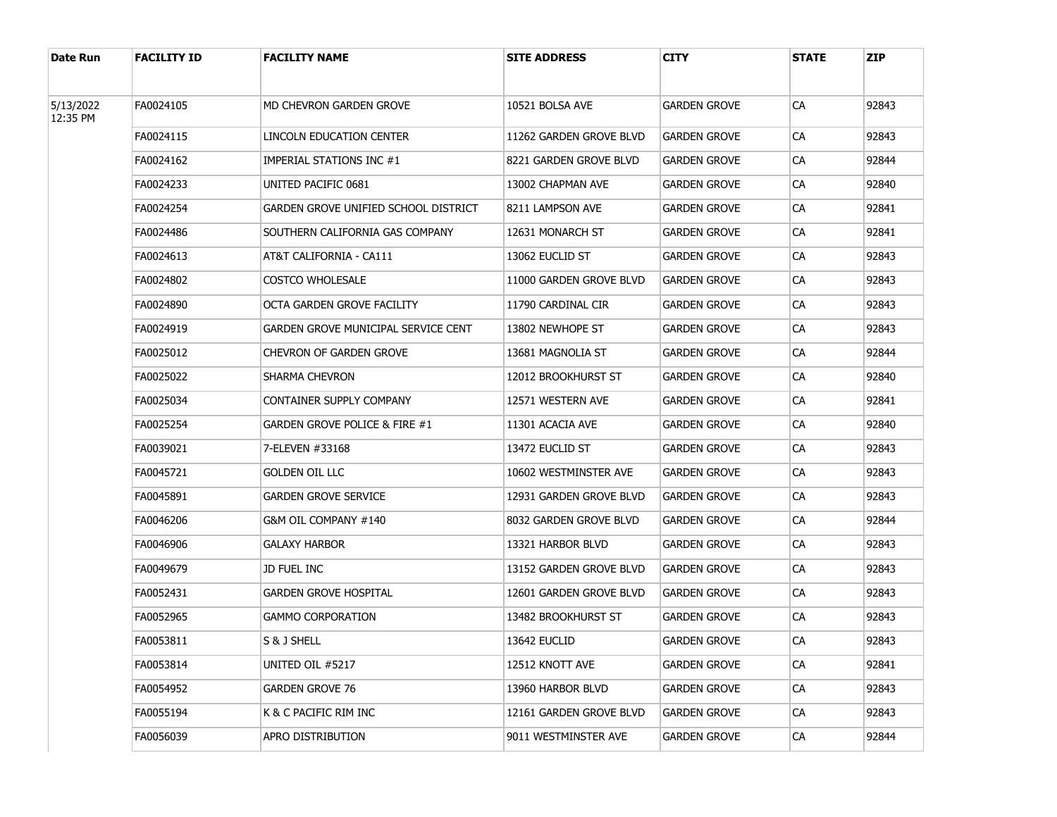| Date Run              | <b>FACILITY ID</b> | <b>FACILITY NAME</b>                 | <b>SITE ADDRESS</b>     | CITY                | <b>STATE</b> | <b>ZIP</b> |
|-----------------------|--------------------|--------------------------------------|-------------------------|---------------------|--------------|------------|
| 5/13/2022<br>12:35 PM | FA0024105          | MD CHEVRON GARDEN GROVE              | 10521 BOLSA AVE         | GARDEN GROVE        | CA           | 92843      |
|                       | FA0024115          | LINCOLN EDUCATION CENTER             | 11262 GARDEN GROVE BLVD | GARDEN GROVE        | CA           | 92843      |
|                       | FA0024162          | IMPERIAL STATIONS INC #1             | 8221 GARDEN GROVE BLVD  | GARDEN GROVE        | CA           | 92844      |
|                       | FA0024233          | UNITED PACIFIC 0681                  | 13002 CHAPMAN AVE       | GARDEN GROVE        | CA           | 92840      |
|                       | FA0024254          | GARDEN GROVE UNIFIED SCHOOL DISTRICT | 8211 LAMPSON AVE        | GARDEN GROVE        | CA           | 92841      |
|                       | FA0024486          | SOUTHERN CALIFORNIA GAS COMPANY      | 12631 MONARCH ST        | GARDEN GROVE        | CA           | 92841      |
|                       | FA0024613          | AT&T CALIFORNIA - CA111              | 13062 EUCLID ST         | GARDEN GROVE        | CA           | 92843      |
|                       | FA0024802          | <b>COSTCO WHOLESALE</b>              | 11000 GARDEN GROVE BLVD | GARDEN GROVE        | CA           | 92843      |
|                       | FA0024890          | OCTA GARDEN GROVE FACILITY           | 11790 CARDINAL CIR      | GARDEN GROVE        | CA           | 92843      |
|                       | FA0024919          | GARDEN GROVE MUNICIPAL SERVICE CENT  | 13802 NEWHOPE ST        | GARDEN GROVE        | CA           | 92843      |
|                       | FA0025012          | <b>CHEVRON OF GARDEN GROVE</b>       | 13681 MAGNOLIA ST       | GARDEN GROVE        | CA           | 92844      |
|                       | FA0025022          | SHARMA CHEVRON                       | 12012 BROOKHURST ST     | <b>GARDEN GROVE</b> | CA           | 92840      |
|                       | FA0025034          | CONTAINER SUPPLY COMPANY             | 12571 WESTERN AVE       | GARDEN GROVE        | CA           | 92841      |
|                       | FA0025254          | GARDEN GROVE POLICE & FIRE #1        | 11301 ACACIA AVE        | GARDEN GROVE        | CA           | 92840      |
|                       | FA0039021          | 7-ELEVEN #33168                      | 13472 EUCLID ST         | GARDEN GROVE        | CA           | 92843      |
|                       | FA0045721          | <b>GOLDEN OIL LLC</b>                | 10602 WESTMINSTER AVE   | GARDEN GROVE        | CA           | 92843      |
|                       | FA0045891          | <b>GARDEN GROVE SERVICE</b>          | 12931 GARDEN GROVE BLVD | GARDEN GROVE        | CA           | 92843      |
|                       | FA0046206          | G&M OIL COMPANY #140                 | 8032 GARDEN GROVE BLVD  | GARDEN GROVE        | CA           | 92844      |
|                       | FA0046906          | <b>GALAXY HARBOR</b>                 | 13321 HARBOR BLVD       | GARDEN GROVE        | CA           | 92843      |
|                       | FA0049679          | JD FUEL INC                          | 13152 GARDEN GROVE BLVD | GARDEN GROVE        | CA           | 92843      |
|                       | FA0052431          | <b>GARDEN GROVE HOSPITAL</b>         | 12601 GARDEN GROVE BLVD | GARDEN GROVE        | CA           | 92843      |
|                       | FA0052965          | <b>GAMMO CORPORATION</b>             | 13482 BROOKHURST ST     | GARDEN GROVE        | CA           | 92843      |
|                       | FA0053811          | S & J SHELL                          | 13642 EUCLID            | GARDEN GROVE        | CA           | 92843      |
|                       | FA0053814          | UNITED OIL #5217                     | 12512 KNOTT AVE         | GARDEN GROVE        | CA           | 92841      |
|                       | FA0054952          | <b>GARDEN GROVE 76</b>               | 13960 HARBOR BLVD       | <b>GARDEN GROVE</b> | CA           | 92843      |
|                       | FA0055194          | K & C PACIFIC RIM INC                | 12161 GARDEN GROVE BLVD | GARDEN GROVE        | CA           | 92843      |
|                       | FA0056039          | APRO DISTRIBUTION                    | 9011 WESTMINSTER AVE    | <b>GARDEN GROVE</b> | CA           | 92844      |
|                       |                    |                                      |                         |                     |              |            |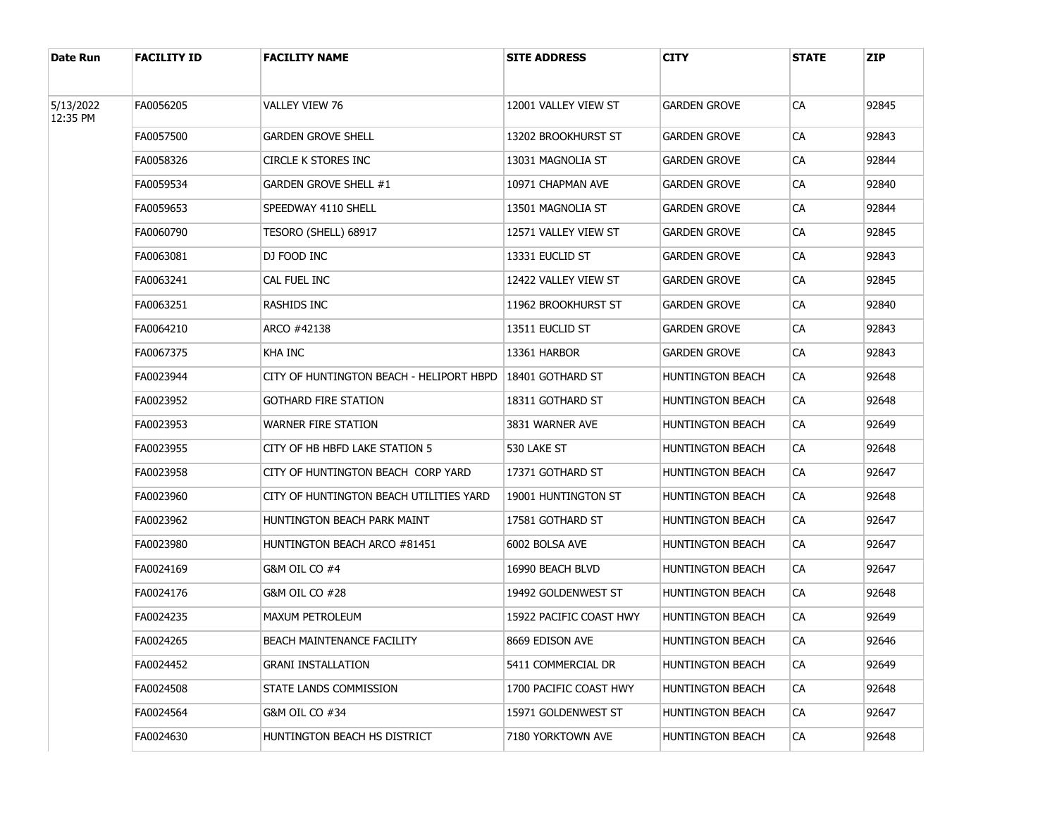| Date Run              | <b>FACILITY ID</b> | <b>FACILITY NAME</b>                     | <b>SITE ADDRESS</b>     | CITY             | <b>STATE</b> | <b>ZIP</b> |
|-----------------------|--------------------|------------------------------------------|-------------------------|------------------|--------------|------------|
| 5/13/2022<br>12:35 PM | FA0056205          | VALLEY VIEW 76                           | 12001 VALLEY VIEW ST    | GARDEN GROVE     | CA           | 92845      |
|                       | FA0057500          | <b>GARDEN GROVE SHELL</b>                | 13202 BROOKHURST ST     | GARDEN GROVE     | CA           | 92843      |
|                       | FA0058326          | <b>CIRCLE K STORES INC</b>               | 13031 MAGNOLIA ST       | GARDEN GROVE     | CA           | 92844      |
|                       | FA0059534          | GARDEN GROVE SHELL #1                    | 10971 CHAPMAN AVE       | GARDEN GROVE     | CA           | 92840      |
|                       | FA0059653          | SPEEDWAY 4110 SHELL                      | 13501 MAGNOLIA ST       | GARDEN GROVE     | CA           | 92844      |
|                       | FA0060790          | TESORO (SHELL) 68917                     | 12571 VALLEY VIEW ST    | GARDEN GROVE     | CA           | 92845      |
|                       | FA0063081          | DJ FOOD INC                              | 13331 EUCLID ST         | GARDEN GROVE     | CA           | 92843      |
|                       | FA0063241          | CAL FUEL INC                             | 12422 VALLEY VIEW ST    | GARDEN GROVE     | CA           | 92845      |
|                       | FA0063251          | RASHIDS INC                              | 11962 BROOKHURST ST     | GARDEN GROVE     | CA           | 92840      |
|                       | FA0064210          | ARCO #42138                              | 13511 EUCLID ST         | GARDEN GROVE     | CA           | 92843      |
|                       | FA0067375          | KHA INC                                  | 13361 HARBOR            | GARDEN GROVE     | CA           | 92843      |
|                       | FA0023944          | CITY OF HUNTINGTON BEACH - HELIPORT HBPD | 18401 GOTHARD ST        | HUNTINGTON BEACH | CA           | 92648      |
|                       | FA0023952          | <b>GOTHARD FIRE STATION</b>              | 18311 GOTHARD ST        | HUNTINGTON BEACH | CA           | 92648      |
|                       | FA0023953          | <b>WARNER FIRE STATION</b>               | 3831 WARNER AVE         | HUNTINGTON BEACH | CA           | 92649      |
|                       | FA0023955          | CITY OF HB HBFD LAKE STATION 5           | 530 LAKE ST             | HUNTINGTON BEACH | CA           | 92648      |
|                       | FA0023958          | CITY OF HUNTINGTON BEACH CORP YARD       | 17371 GOTHARD ST        | HUNTINGTON BEACH | CA           | 92647      |
|                       | FA0023960          | CITY OF HUNTINGTON BEACH UTILITIES YARD  | 19001 HUNTINGTON ST     | HUNTINGTON BEACH | CA           | 92648      |
|                       | FA0023962          | HUNTINGTON BEACH PARK MAINT              | 17581 GOTHARD ST        | HUNTINGTON BEACH | CA           | 92647      |
|                       | FA0023980          | HUNTINGTON BEACH ARCO #81451             | 6002 BOLSA AVE          | HUNTINGTON BEACH | CA           | 92647      |
|                       | FA0024169          | G&M OIL CO #4                            | 16990 BEACH BLVD        | HUNTINGTON BEACH | CA           | 92647      |
|                       | FA0024176          | G&M OIL CO #28                           | 19492 GOLDENWEST ST     | HUNTINGTON BEACH | CA           | 92648      |
|                       | FA0024235          | MAXUM PETROLEUM                          | 15922 PACIFIC COAST HWY | HUNTINGTON BEACH | CA           | 92649      |
|                       | FA0024265          | BEACH MAINTENANCE FACILITY               | 8669 EDISON AVE         | HUNTINGTON BEACH | CA           | 92646      |
|                       | FA0024452          | GRANI INSTALLATION                       | 5411 COMMERCIAL DR      | HUNTINGTON BEACH | CA           | 92649      |
|                       | FA0024508          | STATE LANDS COMMISSION                   | 1700 PACIFIC COAST HWY  | HUNTINGTON BEACH | CA           | 92648      |
|                       | FA0024564          | G&M OIL CO #34                           | 15971 GOLDENWEST ST     | HUNTINGTON BEACH | CA           | 92647      |
|                       | FA0024630          | HUNTINGTON BEACH HS DISTRICT             | 7180 YORKTOWN AVE       | HUNTINGTON BEACH | CA           | 92648      |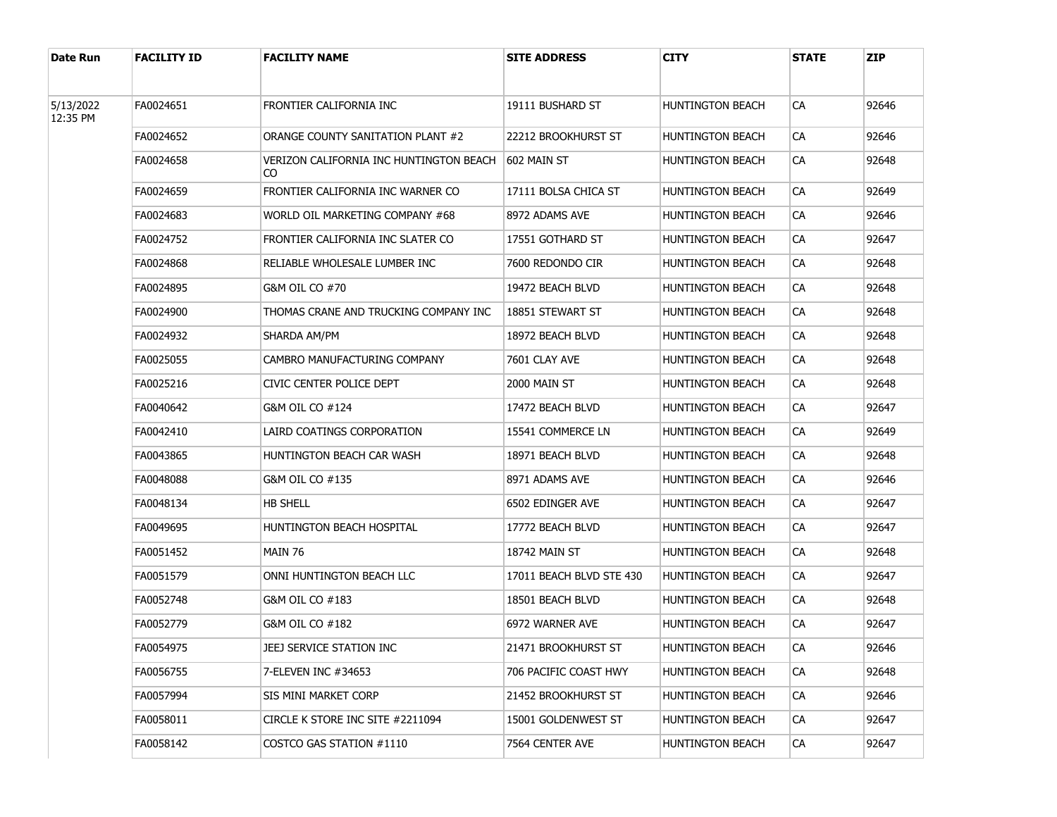| Date Run  | <b>FACILITY ID</b> | <b>FACILITY NAME</b>                          | <b>SITE ADDRESS</b>      | CITY                    | <b>STATE</b> | <b>ZIP</b> |
|-----------|--------------------|-----------------------------------------------|--------------------------|-------------------------|--------------|------------|
| 5/13/2022 | FA0024651          | FRONTIER CALIFORNIA INC                       | 19111 BUSHARD ST         | HUNTINGTON BEACH        | СA           | 92646      |
| 12:35 PM  | FA0024652          | ORANGE COUNTY SANITATION PLANT #2             | 22212 Brookhurst St      | HUNTINGTON BEACH        | CA           | 92646      |
|           | FA0024658          | VERIZON CALIFORNIA INC HUNTINGTON BEACH<br>CO | 1602 MAIN ST             | <b>HUNTINGTON BEACH</b> | CA           | 92648      |
|           | FA0024659          | FRONTIER CALIFORNIA INC WARNER CO             | 17111 BOLSA CHICA ST     | <b>HUNTINGTON BEACH</b> | <b>CA</b>    | 92649      |
|           | FA0024683          | WORLD OIL MARKETING COMPANY #68               | 8972 ADAMS AVE           | <b>HUNTINGTON BEACH</b> | CA           | 92646      |
|           | FA0024752          | FRONTIER CALIFORNIA INC SLATER CO             | 17551 GOTHARD ST         | <b>HUNTINGTON BEACH</b> | CA           | 92647      |
|           | FA0024868          | RELIABLE WHOLESALE LUMBER INC                 | 7600 REDONDO CIR         | <b>HUNTINGTON BEACH</b> | CA           | 92648      |
|           | FA0024895          | G&M OIL CO #70                                | 19472 BEACH BLVD         | <b>HUNTINGTON BEACH</b> | CA           | 92648      |
|           | FA0024900          | THOMAS CRANE AND TRUCKING COMPANY INC         | 18851 STEWART ST         | <b>HUNTINGTON BEACH</b> | CA           | 92648      |
|           | FA0024932          | SHARDA AM/PM                                  | 18972 BEACH BLVD         | <b>HUNTINGTON BEACH</b> | CA           | 92648      |
|           | FA0025055          | CAMBRO MANUFACTURING COMPANY                  | 7601 CLAY AVE            | <b>HUNTINGTON BEACH</b> | CA           | 92648      |
|           | FA0025216          | CIVIC CENTER POLICE DEPT                      | 2000 MAIN ST             | <b>HUNTINGTON BEACH</b> | CA           | 92648      |
|           | FA0040642          | G&M OIL CO #124                               | 17472 BEACH BLVD         | <b>HUNTINGTON BEACH</b> | CA           | 92647      |
|           | FA0042410          | LAIRD COATINGS CORPORATION                    | 15541 COMMERCE LN        | <b>HUNTINGTON BEACH</b> | CA           | 92649      |
|           | FA0043865          | HUNTINGTON BEACH CAR WASH                     | 18971 BEACH BLVD         | <b>HUNTINGTON BEACH</b> | CA           | 92648      |
|           | FA0048088          | G&M OIL CO #135                               | 8971 ADAMS AVE           | <b>HUNTINGTON BEACH</b> | CA           | 92646      |
|           | FA0048134          | <b>HB SHELL</b>                               | 6502 EDINGER AVE         | <b>HUNTINGTON BEACH</b> | CA           | 92647      |
|           | FA0049695          | HUNTINGTON BEACH HOSPITAL                     | 17772 BEACH BLVD         | <b>HUNTINGTON BEACH</b> | CA           | 92647      |
|           | FA0051452          | MAIN 76                                       | 18742 MAIN ST            | <b>HUNTINGTON BEACH</b> | CA           | 92648      |
|           | FA0051579          | ONNI HUNTINGTON BEACH LLC                     | 17011 BEACH BLVD STE 430 | <b>HUNTINGTON BEACH</b> | CA           | 92647      |
|           | FA0052748          | G&M OIL CO #183                               | 18501 BEACH BLVD         | <b>HUNTINGTON BEACH</b> | CA           | 92648      |
|           | FA0052779          | G&M OIL CO #182                               | 6972 WARNER AVE          | <b>HUNTINGTON BEACH</b> | CA           | 92647      |
|           | FA0054975          | JEEJ SERVICE STATION INC                      | 21471 BROOKHURST ST      | <b>HUNTINGTON BEACH</b> | CA           | 92646      |
|           | FA0056755          | 7-ELEVEN INC #34653                           | 706 PACIFIC COAST HWY    | HUNTINGTON BEACH        | <b>CA</b>    | 92648      |
|           | FA0057994          | SIS MINI MARKET CORP                          | 21452 BROOKHURST ST      | HUNTINGTON BEACH        | CA           | 92646      |
|           | FA0058011          | CIRCLE K STORE INC SITE #2211094              | 15001 GOLDENWEST ST      | HUNTINGTON BEACH        | CA           | 92647      |
|           | FA0058142          | COSTCO GAS STATION #1110                      | 7564 CENTER AVE          | HUNTINGTON BEACH        | <b>CA</b>    | 92647      |
|           |                    |                                               |                          |                         |              |            |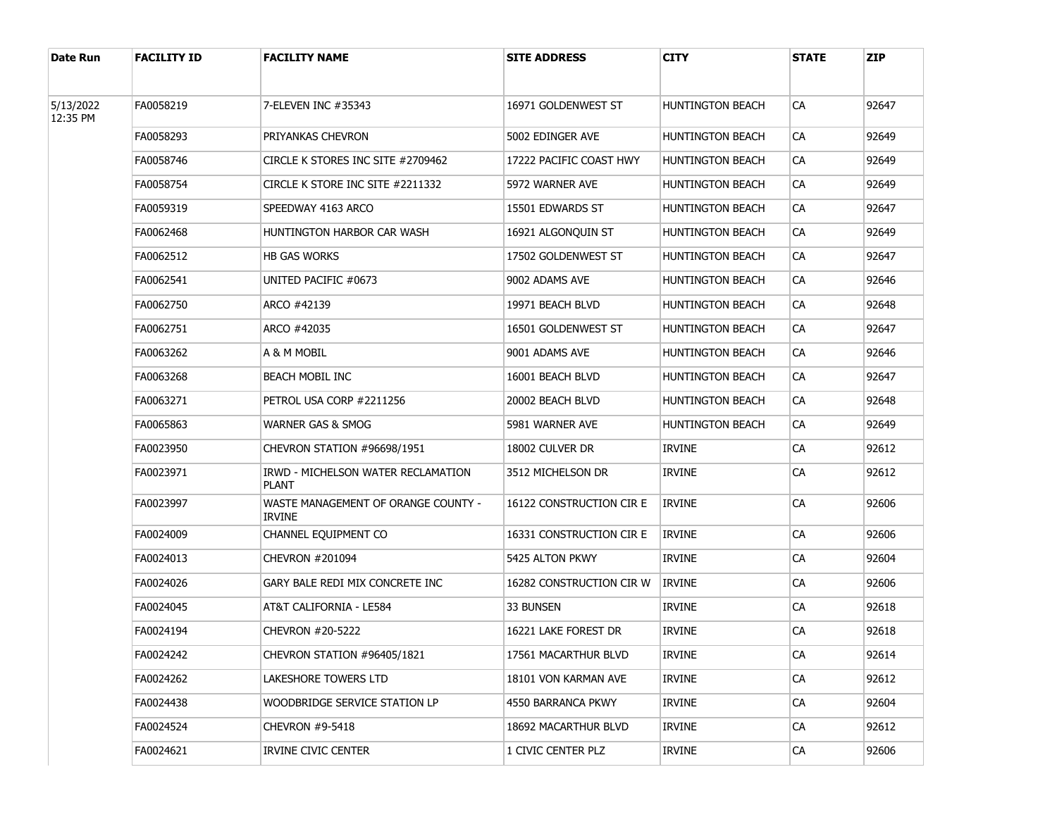| Date Run              | <b>FACILITY ID</b> | <b>FACILITY NAME</b>                                 | <b>SITE ADDRESS</b>      | <b>CITY</b>      | <b>STATE</b> | <b>ZIP</b> |
|-----------------------|--------------------|------------------------------------------------------|--------------------------|------------------|--------------|------------|
| 5/13/2022<br>12:35 PM | FA0058219          | 7-ELEVEN INC #35343                                  | 16971 GOLDENWEST ST      | HUNTINGTON BEACH | CA           | 92647      |
|                       | FA0058293          | PRIYANKAS CHEVRON                                    | 5002 EDINGER AVE         | HUNTINGTON BEACH | CA           | 92649      |
|                       | FA0058746          | CIRCLE K STORES INC SITE #2709462                    | 17222 PACIFIC COAST HWY  | HUNTINGTON BEACH | <b>CA</b>    | 92649      |
|                       | FA0058754          | CIRCLE K STORE INC SITE #2211332                     | 5972 WARNER AVE          | HUNTINGTON BEACH | <b>CA</b>    | 92649      |
|                       | FA0059319          | SPEEDWAY 4163 ARCO                                   | 15501 EDWARDS ST         | HUNTINGTON BEACH | <b>CA</b>    | 92647      |
|                       | FA0062468          | HUNTINGTON HARBOR CAR WASH                           | 16921 ALGONQUIN ST       | HUNTINGTON BEACH | <b>CA</b>    | 92649      |
|                       | FA0062512          | <b>HB GAS WORKS</b>                                  | 17502 GOLDENWEST ST      | HUNTINGTON BEACH | <b>CA</b>    | 92647      |
|                       | FA0062541          | UNITED PACIFIC #0673                                 | 9002 ADAMS AVE           | HUNTINGTON BEACH | <b>CA</b>    | 92646      |
|                       | FA0062750          | ARCO #42139                                          | 19971 BEACH BLVD         | HUNTINGTON BEACH | <b>CA</b>    | 92648      |
|                       | FA0062751          | ARCO #42035                                          | 16501 GOLDENWEST ST      | HUNTINGTON BEACH | <b>CA</b>    | 92647      |
|                       | FA0063262          | A & M MOBIL                                          | 9001 ADAMS AVE           | HUNTINGTON BEACH | <b>CA</b>    | 92646      |
|                       | FA0063268          | BEACH MOBIL INC                                      | 16001 BEACH BLVD         | HUNTINGTON BEACH | <b>CA</b>    | 92647      |
|                       | FA0063271          | PETROL USA CORP #2211256                             | 20002 BEACH BLVD         | HUNTINGTON BEACH | <b>CA</b>    | 92648      |
|                       | FA0065863          | WARNER GAS & SMOG                                    | 5981 WARNER AVE          | HUNTINGTON BEACH | <b>CA</b>    | 92649      |
|                       | FA0023950          | CHEVRON STATION #96698/1951                          | 18002 CULVER DR          | <b>IRVINE</b>    | <b>CA</b>    | 92612      |
|                       | FA0023971          | IRWD - MICHELSON WATER RECLAMATION<br><b>PLANT</b>   | 3512 MICHELSON DR        | <b>IRVINE</b>    | CA           | 92612      |
|                       | FA0023997          | WASTE MANAGEMENT OF ORANGE COUNTY -<br><b>IRVINE</b> | 16122 CONSTRUCTION CIR E | <b>IRVINE</b>    | CA           | 92606      |
|                       | FA0024009          | CHANNEL EQUIPMENT CO                                 | 16331 CONSTRUCTION CIR E | <b>IRVINE</b>    | CA           | 92606      |
|                       | FA0024013          | CHEVRON #201094                                      | 5425 ALTON PKWY          | <b>IRVINE</b>    | CA           | 92604      |
|                       | FA0024026          | GARY BALE REDI MIX CONCRETE INC                      | 16282 CONSTRUCTION CIR W | <b>IRVINE</b>    | CA           | 92606      |
|                       | FA0024045          | AT&T CALIFORNIA - LE584                              | 33 BUNSEN                | <b>IRVINE</b>    | CA           | 92618      |
|                       | FA0024194          | CHEVRON #20-5222                                     | 16221 LAKE FOREST DR     | <b>IRVINE</b>    | CA           | 92618      |
|                       | FA0024242          | CHEVRON STATION #96405/1821                          | 17561 MACARTHUR BLVD     | IRVINE           | CA           | 92614      |
|                       | FA0024262          | LAKESHORE TOWERS LTD                                 | 18101 VON KARMAN AVE     | <b>IRVINE</b>    | CA           | 92612      |
|                       | FA0024438          | WOODBRIDGE SERVICE STATION LP                        | 4550 BARRANCA PKWY       | <b>IRVINE</b>    | CA           | 92604      |
|                       | FA0024524          | <b>CHEVRON #9-5418</b>                               | 18692 MACARTHUR BLVD     | <b>IRVINE</b>    | CA           | 92612      |
|                       | FA0024621          | <b>IRVINE CIVIC CENTER</b>                           | 1 CIVIC CENTER PLZ       | <b>IRVINE</b>    | CA           | 92606      |
|                       |                    |                                                      |                          |                  |              |            |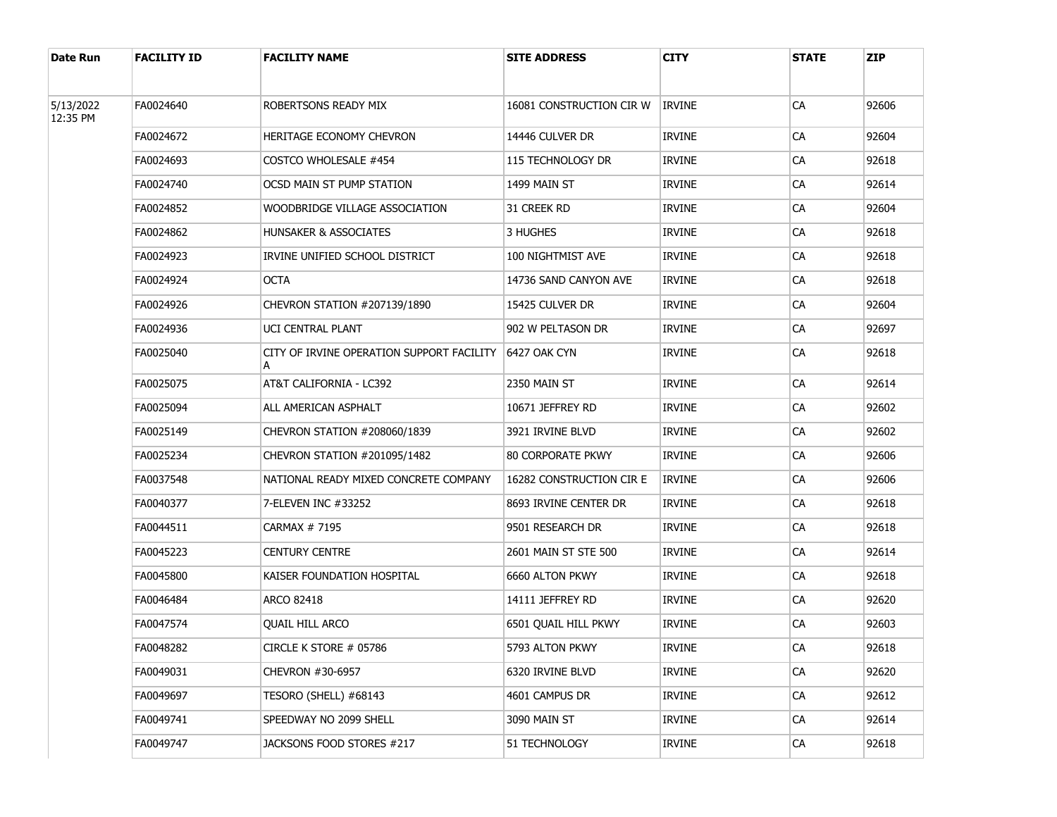| Date Run              | <b>FACILITY ID</b> | <b>FACILITY NAME</b>                      | <b>SITE ADDRESS</b>      | <b>CITY</b>   | <b>STATE</b> | <b>ZIP</b> |
|-----------------------|--------------------|-------------------------------------------|--------------------------|---------------|--------------|------------|
| 5/13/2022<br>12:35 PM | FA0024640          | ROBERTSONS READY MIX                      | 16081 CONSTRUCTION CIR W | <b>IRVINE</b> | CA           | 92606      |
|                       | FA0024672          | HERITAGE ECONOMY CHEVRON                  | 14446 CULVER DR          | IRVINE        | CA           | 92604      |
|                       | FA0024693          | COSTCO WHOLESALE #454                     | 115 TECHNOLOGY DR        | <b>IRVINE</b> | CA           | 92618      |
|                       | FA0024740          | OCSD MAIN ST PUMP STATION                 | 1499 MAIN ST             | <b>IRVINE</b> | CA           | 92614      |
|                       | FA0024852          | WOODBRIDGE VILLAGE ASSOCIATION            | 31 Creek RD              | <b>IRVINE</b> | CA           | 92604      |
|                       | FA0024862          | <b>HUNSAKER &amp; ASSOCIATES</b>          | 3 HUGHES                 | <b>IRVINE</b> | CA           | 92618      |
|                       | FA0024923          | IRVINE UNIFIED SCHOOL DISTRICT            | 100 NIGHTMIST AVE        | <b>IRVINE</b> | CA           | 92618      |
|                       | FA0024924          | <b>OCTA</b>                               | 14736 SAND CANYON AVE    | IRVINE        | CA           | 92618      |
|                       | FA0024926          | CHEVRON STATION #207139/1890              | 15425 CULVER DR          | <b>IRVINE</b> | CA           | 92604      |
|                       | FA0024936          | UCI CENTRAL PLANT                         | 902 W PELTASON DR        | IRVINE        | CA           | 92697      |
|                       | FA0025040          | CITY OF IRVINE OPERATION SUPPORT FACILITY | 6427 OAK CYN             | <b>IRVINE</b> | CA           | 92618      |
|                       | FA0025075          | AT&T CALIFORNIA - LC392                   | 2350 MAIN ST             | <b>IRVINE</b> | CA           | 92614      |
|                       | FA0025094          | ALL AMERICAN ASPHALT                      | 10671 JEFFREY RD         | <b>IRVINE</b> | CA           | 92602      |
|                       | FA0025149          | CHEVRON STATION #208060/1839              | 3921 IRVINE BLVD         | <b>IRVINE</b> | CA           | 92602      |
|                       | FA0025234          | CHEVRON STATION #201095/1482              | 80 CORPORATE PKWY        | <b>IRVINE</b> | CA           | 92606      |
|                       | FA0037548          | NATIONAL READY MIXED CONCRETE COMPANY     | 16282 CONSTRUCTION CIR E | <b>IRVINE</b> | CA           | 92606      |
|                       | FA0040377          | 7-ELEVEN INC #33252                       | 8693 IRVINE CENTER DR    | <b>IRVINE</b> | CA           | 92618      |
|                       | FA0044511          | CARMAX # 7195                             | 9501 RESEARCH DR         | <b>IRVINE</b> | CA           | 92618      |
|                       | FA0045223          | <b>CENTURY CENTRE</b>                     | 2601 MAIN ST STE 500     | <b>IRVINE</b> | CA           | 92614      |
|                       | FA0045800          | KAISER FOUNDATION HOSPITAL                | 6660 ALTON PKWY          | <b>IRVINE</b> | CA           | 92618      |
|                       | FA0046484          | <b>ARCO 82418</b>                         | 14111 JEFFREY RD         | <b>IRVINE</b> | CA           | 92620      |
|                       | FA0047574          | <b>QUAIL HILL ARCO</b>                    | 6501 OUAIL HILL PKWY     | <b>IRVINE</b> | CA           | 92603      |
|                       | FA0048282          | CIRCLE K STORE # 05786                    | 5793 ALTON PKWY          | <b>IRVINE</b> | CA           | 92618      |
|                       | FA0049031          | CHEVRON #30-6957                          | 6320 IRVINE BLVD         | IRVINE        | CA           | 92620      |
|                       | FA0049697          | TESORO (SHELL) #68143                     | 4601 CAMPUS DR           | IRVINE        | CA           | 92612      |
|                       | FA0049741          | SPEEDWAY NO 2099 SHELL                    | 3090 MAIN ST             | <b>IRVINE</b> | CA           | 92614      |
|                       | FA0049747          | JACKSONS FOOD STORES #217                 | 51 TECHNOLOGY            | IRVINE        | CA           | 92618      |
|                       |                    |                                           |                          |               |              |            |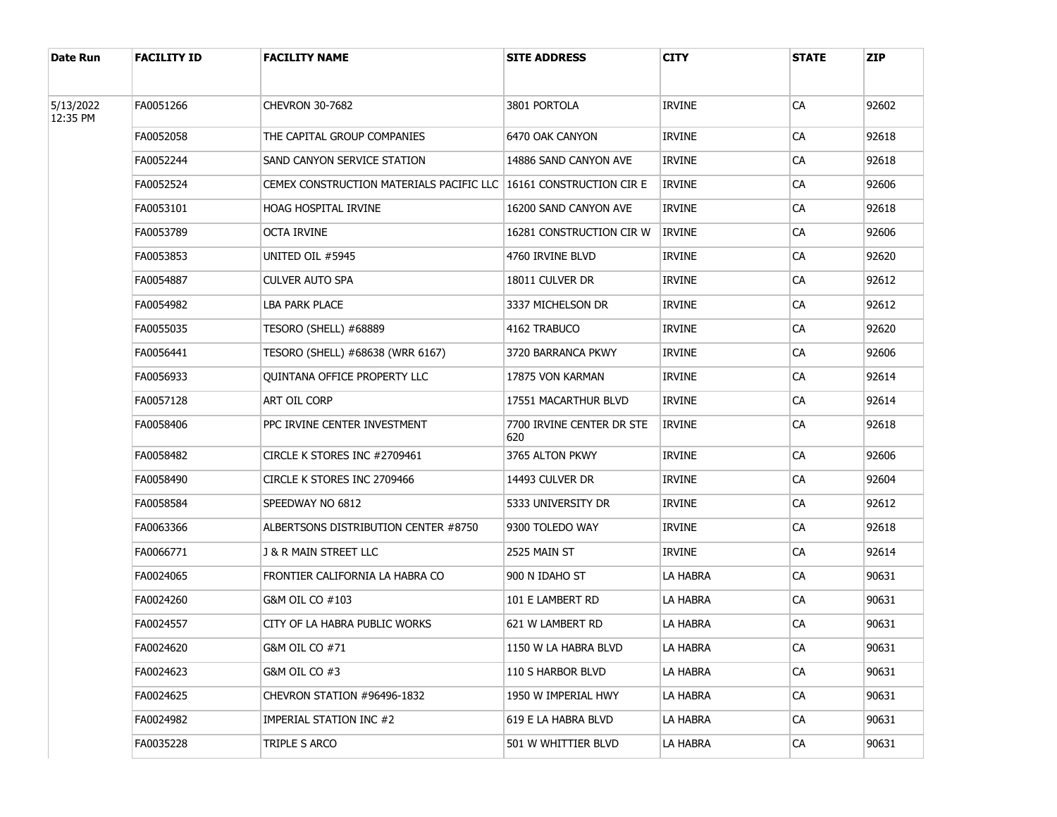| Date Run              | <b>FACILITY ID</b> | <b>FACILITY NAME</b>                                                | <b>SITE ADDRESS</b>              | <b>CITY</b>     | <b>STATE</b> | <b>ZIP</b> |
|-----------------------|--------------------|---------------------------------------------------------------------|----------------------------------|-----------------|--------------|------------|
| 5/13/2022<br>12:35 PM | FA0051266          | <b>CHEVRON 30-7682</b>                                              | 3801 PORTOLA                     | <b>IRVINE</b>   | CA           | 92602      |
|                       | FA0052058          | THE CAPITAL GROUP COMPANIES                                         | 6470 OAK CANYON                  | IRVINE          | CA           | 92618      |
|                       | FA0052244          | SAND CANYON SERVICE STATION                                         | 14886 SAND CANYON AVE            | IRVINE          | CA           | 92618      |
|                       | FA0052524          | CEMEX CONSTRUCTION MATERIALS PACIFIC LLC   16161 CONSTRUCTION CIR E |                                  | <b>IRVINE</b>   | CA           | 92606      |
|                       | FA0053101          | <b>HOAG HOSPITAL IRVINE</b>                                         | 16200 SAND CANYON AVE            | IRVINE          | CA           | 92618      |
|                       | FA0053789          | octa irvine                                                         | 16281 CONSTRUCTION CIR W         | <b>IRVINE</b>   | CA           | 92606      |
|                       | FA0053853          | UNITED OIL #5945                                                    | 4760 IRVINE BLVD                 | IRVINE          | CA           | 92620      |
|                       | FA0054887          | CULVER AUTO SPA                                                     | 18011 CULVER DR                  | IRVINE          | CA           | 92612      |
|                       | FA0054982          | <b>LBA PARK PLACE</b>                                               | 3337 MICHELSON DR                | IRVINE          | CA           | 92612      |
|                       | FA0055035          | TESORO (SHELL) #68889                                               | 4162 TRABUCO                     | IRVINE          | CA           | 92620      |
|                       | FA0056441          | TESORO (SHELL) #68638 (WRR 6167)                                    | 3720 BARRANCA PKWY               | <b>IRVINE</b>   | CA           | 92606      |
|                       | FA0056933          | QUINTANA OFFICE PROPERTY LLC                                        | 17875 VON KARMAN                 | IRVINE          | CA           | 92614      |
|                       | FA0057128          | ART OIL CORP                                                        | 17551 MACARTHUR BLVD             | <b>IRVINE</b>   | CA           | 92614      |
|                       | FA0058406          | PPC IRVINE CENTER INVESTMENT                                        | 7700 IRVINE CENTER DR STE<br>620 | <b>IRVINE</b>   | CA           | 92618      |
|                       | FA0058482          | CIRCLE K STORES INC #2709461                                        | 3765 ALTON PKWY                  | <b>IRVINE</b>   | CA           | 92606      |
|                       | FA0058490          | CIRCLE K STORES INC 2709466                                         | 14493 CULVER DR                  | <b>IRVINE</b>   | CA           | 92604      |
|                       | FA0058584          | SPEEDWAY NO 6812                                                    | 5333 UNIVERSITY DR               | <b>IRVINE</b>   | CA           | 92612      |
|                       | FA0063366          | ALBERTSONS DISTRIBUTION CENTER #8750                                | 9300 TOLEDO WAY                  | <b>IRVINE</b>   | CA           | 92618      |
|                       | FA0066771          | J & R MAIN STREET LLC                                               | 2525 MAIN ST                     | <b>IRVINE</b>   | CA           | 92614      |
|                       | FA0024065          | FRONTIER CALIFORNIA LA HABRA CO                                     | 900 N IDAHO ST                   | LA HABRA        | CA           | 90631      |
|                       | FA0024260          | G&M OIL CO #103                                                     | 101 E LAMBERT RD                 | LA HABRA        | CA           | 90631      |
|                       | FA0024557          | CITY OF LA HABRA PUBLIC WORKS                                       | 621 W LAMBERT RD                 | <b>LA HABRA</b> | CA           | 90631      |
|                       | FA0024620          | G&M OIL CO #71                                                      | 1150 W LA HABRA BLVD             | LA HABRA        | CA           | 90631      |
|                       | FA0024623          | G&M OIL CO #3                                                       | 110 S HARBOR BLVD                | LA HABRA        | CA           | 90631      |
|                       | FA0024625          | CHEVRON STATION #96496-1832                                         | 1950 W IMPERIAL HWY              | LA HABRA        | CA           | 90631      |
|                       | FA0024982          | IMPERIAL STATION INC #2                                             | 619 E LA HABRA BLVD              | LA HABRA        | CA           | 90631      |
|                       | FA0035228          | TRIPLE S ARCO                                                       | 501 W WHITTIER BLVD              | LA HABRA        | CA           | 90631      |
|                       |                    |                                                                     |                                  |                 |              |            |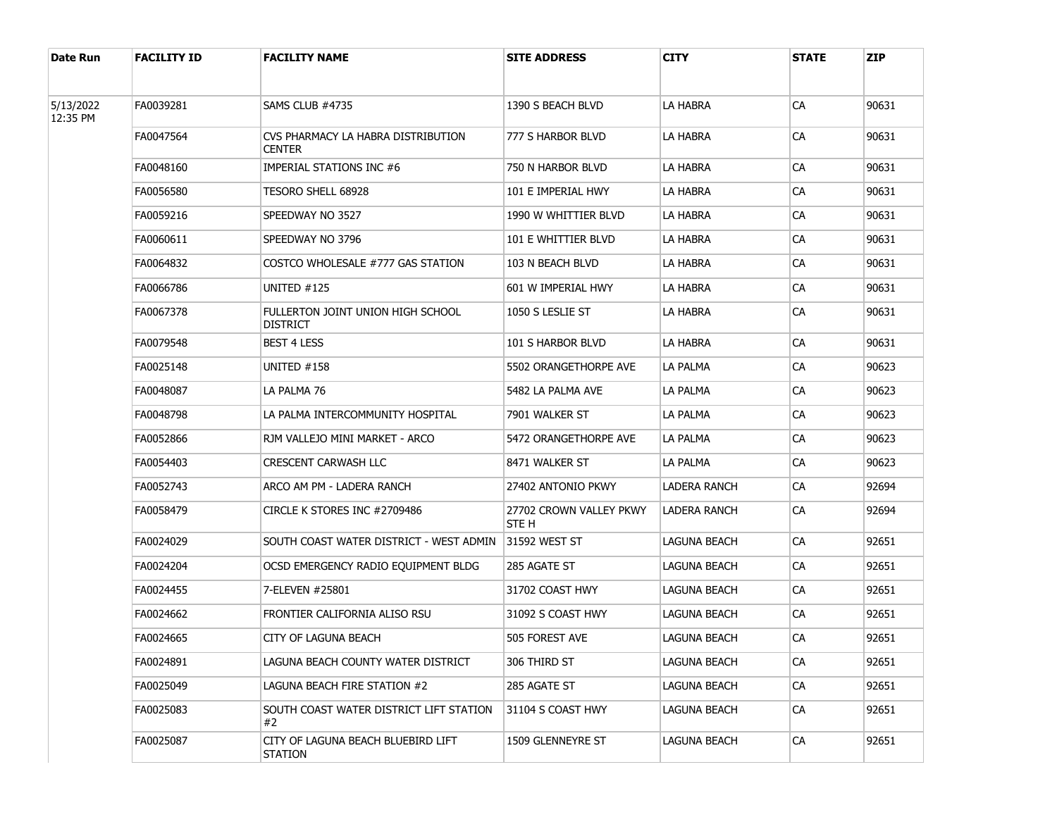| Date Run              | <b>FACILITY ID</b> | <b>FACILITY NAME</b>                                 | <b>SITE ADDRESS</b>              | <b>CITY</b>  | <b>STATE</b> | <b>ZIP</b> |
|-----------------------|--------------------|------------------------------------------------------|----------------------------------|--------------|--------------|------------|
| 5/13/2022<br>12:35 PM | FA0039281          | SAMS CLUB #4735                                      | 1390 S BEACH BLVD                | LA HABRA     | CA           | 90631      |
|                       | FA0047564          | CVS PHARMACY LA HABRA DISTRIBUTION<br><b>CENTER</b>  | 777 s Harbor BlVD                | LA HABRA     | CA           | 90631      |
|                       | FA0048160          | IMPERIAL STATIONS INC #6                             | 750 N HARBOR BLVD                | LA HABRA     | CA           | 90631      |
|                       | FA0056580          | TESORO SHELL 68928                                   | 101 E IMPERIAL HWY               | LA HABRA     | CA           | 90631      |
|                       | FA0059216          | SPEEDWAY NO 3527                                     | 1990 W WHITTIER BLVD             | LA HABRA     | CA           | 90631      |
|                       | FA0060611          | SPEEDWAY NO 3796                                     | 101 E WHITTIER BLVD              | LA HABRA     | CA           | 90631      |
|                       | FA0064832          | COSTCO WHOLESALE #777 GAS STATION                    | 103 N BEACH BLVD                 | LA HABRA     | CA           | 90631      |
|                       | FA0066786          | UNITED #125                                          | 601 W IMPERIAL HWY               | LA HABRA     | CA           | 90631      |
|                       | FA0067378          | FULLERTON JOINT UNION HIGH SCHOOL<br><b>DISTRICT</b> | 1050 S LESLIE ST                 | LA HABRA     | CA           | 90631      |
|                       | FA0079548          | <b>BEST 4 LESS</b>                                   | 101 S HARBOR BLVD                | LA HABRA     | CA           | 90631      |
|                       | FA0025148          | UNITED $#158$                                        | 5502 ORANGETHORPE AVE            | LA PALMA     | CA           | 90623      |
|                       | FA0048087          | LA PALMA 76                                          | 5482 LA PALMA AVE                | LA PALMA     | CA           | 90623      |
|                       | FA0048798          | LA PALMA INTERCOMMUNITY HOSPITAL                     | 7901 WALKER ST                   | LA PALMA     | CA           | 90623      |
|                       | FA0052866          | RJM VALLEJO MINI MARKET - ARCO                       | 5472 ORANGETHORPE AVE            | LA PALMA     | CA           | 90623      |
|                       | FA0054403          | <b>CRESCENT CARWASH LLC</b>                          | 8471 WALKER ST                   | LA PALMA     | CA           | 90623      |
|                       | FA0052743          | ARCO AM PM - LADERA RANCH                            | 27402 ANTONIO PKWY               | LADERA RANCH | CA           | 92694      |
|                       | FA0058479          | CIRCLE K STORES INC #2709486                         | 27702 CROWN VALLEY PKWY<br>STE H | LADERA RANCH | СA           | 92694      |
|                       | FA0024029          | SOUTH COAST WATER DISTRICT - WEST ADMIN              | <b>31592 WEST ST</b>             | LAGUNA BEACH | CA           | 92651      |
|                       | FA0024204          | OCSD EMERGENCY RADIO EQUIPMENT BLDG                  | 285 AGATE ST                     | LAGUNA BEACH | CA           | 92651      |
|                       | FA0024455          | 7-ELEVEN #25801                                      | 31702 COAST HWY                  | LAGUNA BEACH | CA           | 92651      |
|                       | FA0024662          | FRONTIER CALIFORNIA ALISO RSU                        | 31092 S COAST HWY                | LAGUNA BEACH | CA           | 92651      |
|                       | FA0024665          | CITY OF LAGUNA BEACH                                 | 505 FOREST AVE                   | LAGUNA BEACH | CA           | 92651      |
|                       | FA0024891          | LAGUNA BEACH COUNTY WATER DISTRICT                   | 306 THIRD ST                     | LAGUNA BEACH | CA           | 92651      |
|                       | FA0025049          | LAGUNA BEACH FIRE STATION #2                         | 285 AGATE ST                     | LAGUNA BEACH | CA           | 92651      |
|                       | FA0025083          | SOUTH COAST WATER DISTRICT LIFT STATION<br>#2        | 31104 S COAST HWY                | LAGUNA BEACH | CA           | 92651      |
|                       | FA0025087          | CITY OF LAGUNA BEACH BLUEBIRD LIFT<br>STATION        | 1509 GLENNEYRE ST                | LAGUNA BEACH | CA           | 92651      |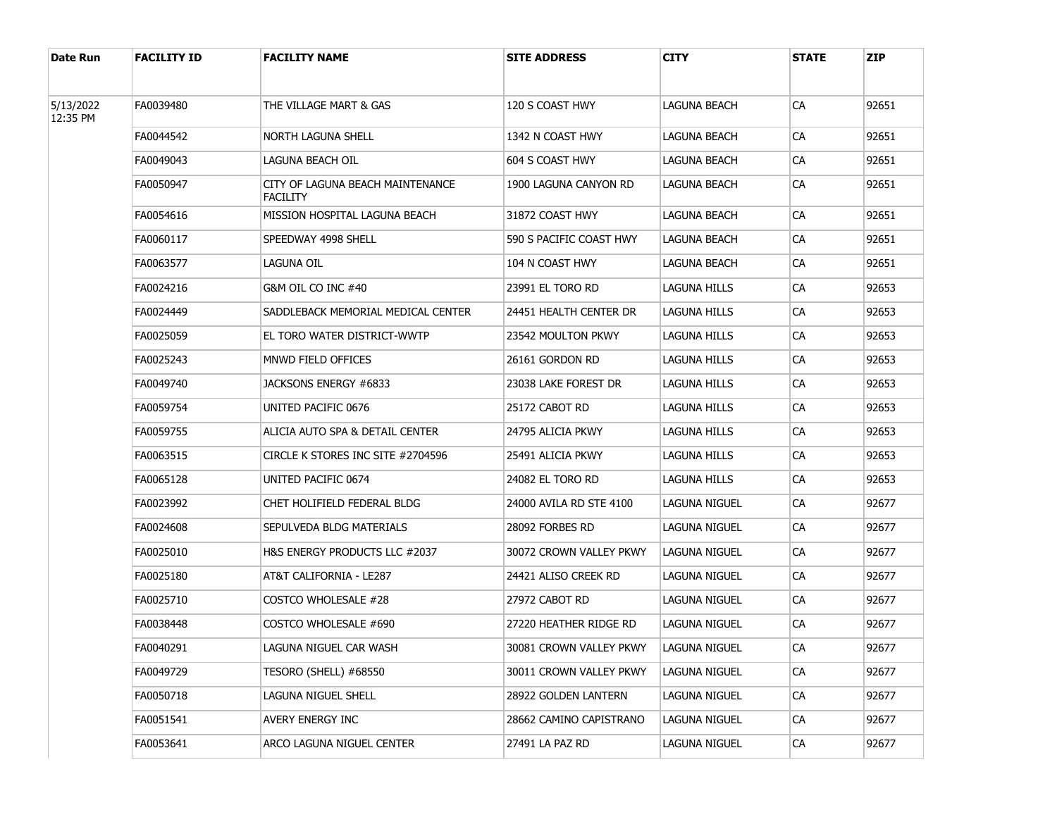| Date Run  | <b>FACILITY ID</b> | <b>FACILITY NAME</b>                                | <b>SITE ADDRESS</b>     | CITY                 | <b>STATE</b> | <b>ZIP</b> |
|-----------|--------------------|-----------------------------------------------------|-------------------------|----------------------|--------------|------------|
| 5/13/2022 | FA0039480          | THE VILLAGE MART & GAS                              | 120 S COAST HWY         | LAGUNA BEACH         | СA           | 92651      |
| 12:35 PM  |                    |                                                     |                         |                      |              |            |
|           | FA0044542          | NORTH LAGUNA SHELL                                  | 1342 N COAST HWY        | LAGUNA BEACH         | СA           | 92651      |
|           | FA0049043          | LAGUNA BEACH OIL                                    | 604 S COAST HWY         | LAGUNA BEACH         | СA           | 92651      |
|           | FA0050947          | CITY OF LAGUNA BEACH MAINTENANCE<br><b>FACILITY</b> | 1900 LAGUNA CANYON RD   | LAGUNA BEACH         | СA           | 92651      |
|           | FA0054616          | MISSION HOSPITAL LAGUNA BEACH                       | 31872 COAST HWY         | LAGUNA BEACH         | CA           | 92651      |
|           | FA0060117          | SPEEDWAY 4998 SHELL                                 | 590 S PACIFIC COAST HWY | LAGUNA BEACH         | СA           | 92651      |
|           | FA0063577          | LAGUNA OIL                                          | 104 N COAST HWY         | LAGUNA BEACH         | СA           | 92651      |
|           | FA0024216          | G&M OIL CO INC #40                                  | 23991 EL TORO RD        | <b>LAGUNA HILLS</b>  | СA           | 92653      |
|           | FA0024449          | SADDLEBACK MEMORIAL MEDICAL CENTER                  | 24451 HEALTH CENTER DR  | LAGUNA HILLS         | СA           | 92653      |
|           | FA0025059          | EL TORO WATER DISTRICT-WWTP                         | 23542 MOULTON PKWY      | LAGUNA HILLS         | СA           | 92653      |
|           | FA0025243          | MNWD FIELD OFFICES                                  | 26161 GORDON RD         | LAGUNA HILLS         | СA           | 92653      |
|           | FA0049740          | JACKSONS ENERGY #6833                               | 23038 LAKE FOREST DR    | LAGUNA HILLS         | СA           | 92653      |
|           | FA0059754          | UNITED PACIFIC 0676                                 | 25172 CABOT RD          | LAGUNA HILLS         | СA           | 92653      |
|           | FA0059755          | ALICIA AUTO SPA & DETAIL CENTER                     | 24795 ALICIA PKWY       | LAGUNA HILLS         | СA           | 92653      |
|           | FA0063515          | CIRCLE K STORES INC SITE #2704596                   | 25491 ALICIA PKWY       | LAGUNA HILLS         | CA           | 92653      |
|           | FA0065128          | UNITED PACIFIC 0674                                 | 24082 EL TORO RD        | LAGUNA HILLS         | СA           | 92653      |
|           | FA0023992          | CHET HOLIFIELD FEDERAL BLDG                         | 24000 AVILA RD STE 4100 | LAGUNA NIGUEL        | CA           | 92677      |
|           | FA0024608          | SEPULVEDA BLDG MATERIALS                            | 28092 FORBES RD         | LAGUNA NIGUEL        | СA           | 92677      |
|           | FA0025010          | H&S ENERGY PRODUCTS LLC #2037                       | 30072 CROWN VALLEY PKWY | LAGUNA NIGUEL        | CA           | 92677      |
|           | FA0025180          | AT&T CALIFORNIA - LE287                             | 24421 ALISO CREEK RD    | LAGUNA NIGUEL        | СA           | 92677      |
|           | FA0025710          | COSTCO WHOLESALE #28                                | 27972 CABOT RD          | LAGUNA NIGUEL        | CA           | 92677      |
|           | FA0038448          | COSTCO WHOLESALE #690                               | 27220 HEATHER RIDGE RD  | LAGUNA NIGUEL        | CA           | 92677      |
|           | FA0040291          | LAGUNA NIGUEL CAR WASH                              | 30081 CROWN VALLEY PKWY | LAGUNA NIGUEL        | ${\sf CA}$   | 92677      |
|           | FA0049729          | TESORO (SHELL) #68550                               | 30011 CROWN VALLEY PKWY | <b>LAGUNA NIGUEL</b> | CA           | 92677      |
|           | FA0050718          | LAGUNA NIGUEL SHELL                                 | 28922 GOLDEN LANTERN    | LAGUNA NIGUEL        | <b>CA</b>    | 92677      |
|           | FA0051541          | <b>AVERY ENERGY INC</b>                             | 28662 CAMINO CAPISTRANO | <b>LAGUNA NIGUEL</b> | CA           | 92677      |
|           | FA0053641          | ARCO LAGUNA NIGUEL CENTER                           | 27491 LA PAZ RD         | LAGUNA NIGUEL        | CA           | 92677      |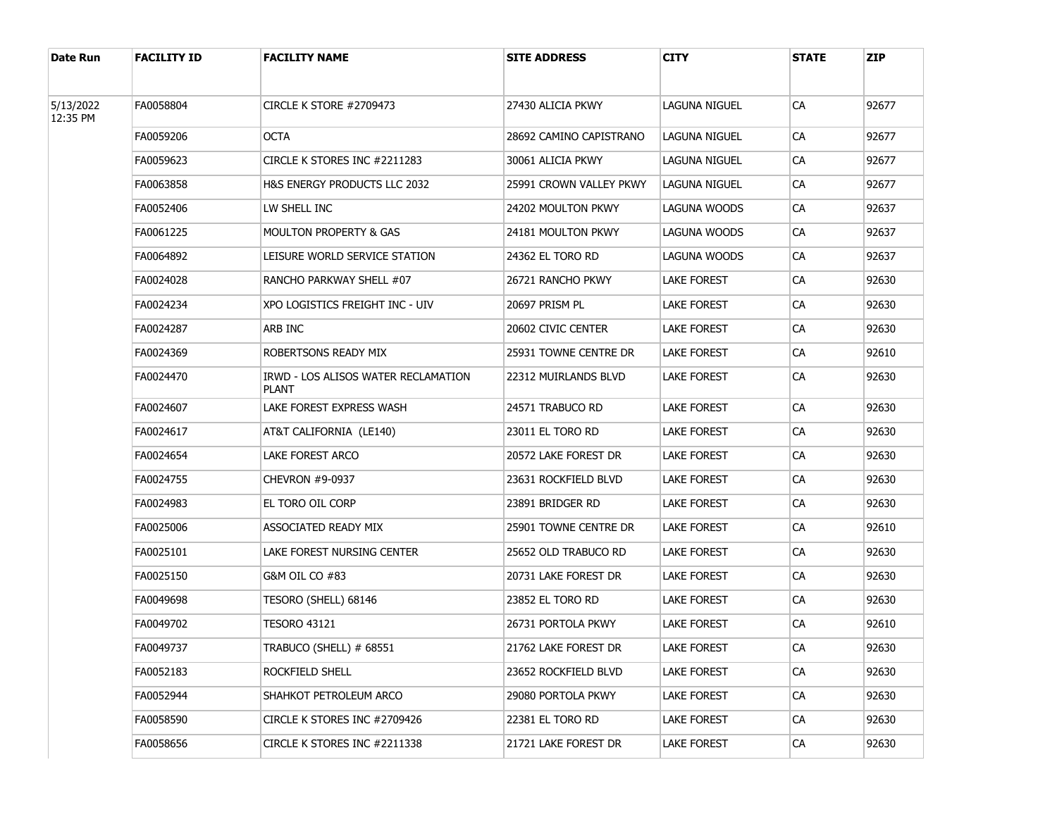| Date Run  | <b>FACILITY ID</b> | <b>FACILITY NAME</b>                                | <b>SITE ADDRESS</b>     | CITY               | <b>STATE</b> | <b>ZIP</b> |
|-----------|--------------------|-----------------------------------------------------|-------------------------|--------------------|--------------|------------|
| 5/13/2022 | FA0058804          | CIRCLE K STORE #2709473                             | 27430 ALICIA PKWY       | LAGUNA NIGUEL      | CA           | 92677      |
| 12:35 PM  | FA0059206          | <b>OCTA</b>                                         | 28692 CAMINO CAPISTRANO | LAGUNA NIGUEL      | CA           | 92677      |
|           | FA0059623          | CIRCLE K STORES INC #2211283                        | 30061 ALICIA PKWY       | LAGUNA NIGUEL      | CA           | 92677      |
|           | FA0063858          | H&S ENERGY PRODUCTS LLC 2032                        | 25991 CROWN VALLEY PKWY | LAGUNA NIGUEL      | CA           | 92677      |
|           | FA0052406          | LW SHELL INC                                        | 24202 MOULTON PKWY      | LAGUNA WOODS       | СA           | 92637      |
|           | FA0061225          | <b>MOULTON PROPERTY &amp; GAS</b>                   | 24181 MOULTON PKWY      | LAGUNA WOODS       | CA           | 92637      |
|           | FA0064892          | LEISURE WORLD SERVICE STATION                       | 24362 EL TORO RD        | LAGUNA WOODS       | СA           | 92637      |
|           | FA0024028          | RANCHO PARKWAY SHELL #07                            | 26721 RANCHO PKWY       | LAKE FOREST        | CA           | 92630      |
|           | FA0024234          | XPO LOGISTICS FREIGHT INC - UIV                     | 20697 PRISM PL          | LAKE FOREST        | СA           | 92630      |
|           | FA0024287          | ARB INC                                             | 20602 CIVIC CENTER      | LAKE FOREST        | CA           | 92630      |
|           | FA0024369          | ROBERTSONS READY MIX                                | 25931 TOWNE CENTRE DR   | <b>LAKE FOREST</b> | СA           | 92610      |
|           | FA0024470          | IRWD - LOS ALISOS WATER RECLAMATION<br><b>PLANT</b> | 22312 MUIRLANDS BLVD    | <b>LAKE FOREST</b> | СA           | 92630      |
|           | FA0024607          | LAKE FOREST EXPRESS WASH                            | 24571 TRABUCO RD        | LAKE FOREST        | CA           | 92630      |
|           | FA0024617          | AT&T CALIFORNIA (LE140)                             | 23011 EL TORO RD        | LAKE FOREST        | СA           | 92630      |
|           | FA0024654          | LAKE FOREST ARCO                                    | 20572 LAKE FOREST DR    | LAKE FOREST        | СA           | 92630      |
|           | FA0024755          | CHEVRON #9-0937                                     | 23631 ROCKFIELD BLVD    | LAKE FOREST        | СA           | 92630      |
|           | FA0024983          | EL TORO OIL CORP                                    | 23891 BRIDGER RD        | <b>LAKE FOREST</b> | СA           | 92630      |
|           | FA0025006          | ASSOCIATED READY MIX                                | 25901 TOWNE CENTRE DR   | <b>LAKE FOREST</b> | СA           | 92610      |
|           | FA0025101          | LAKE FOREST NURSING CENTER                          | 25652 OLD TRABUCO RD    | <b>LAKE FOREST</b> | СA           | 92630      |
|           | FA0025150          | G&M OIL CO #83                                      | 20731 LAKE FOREST DR    | <b>LAKE FOREST</b> | СA           | 92630      |
|           | FA0049698          | TESORO (SHELL) 68146                                | 23852 EL TORO RD        | <b>LAKE FOREST</b> | СA           | 92630      |
|           | FA0049702          | <b>TESORO 43121</b>                                 | 26731 PORTOLA PKWY      | <b>LAKE FOREST</b> | СA           | 92610      |
|           | FA0049737          | TRABUCO (SHELL) # 68551                             | 21762 LAKE FOREST DR    | <b>LAKE FOREST</b> | CA           | 92630      |
|           | FA0052183          | ROCKFIELD SHELL                                     | 23652 ROCKFIELD BLVD    | <b>LAKE FOREST</b> | CA           | 92630      |
|           | FA0052944          | SHAHKOT PETROLEUM ARCO                              | 29080 PORTOLA PKWY      | LAKE FOREST        | CA           | 92630      |
|           | FA0058590          | CIRCLE K STORES INC #2709426                        | 22381 EL TORO RD        | LAKE FOREST        | CA           | 92630      |
|           | FA0058656          | CIRCLE K STORES INC #2211338                        | 21721 LAKE FOREST DR    | LAKE FOREST        | CA           | 92630      |
|           |                    |                                                     |                         |                    |              |            |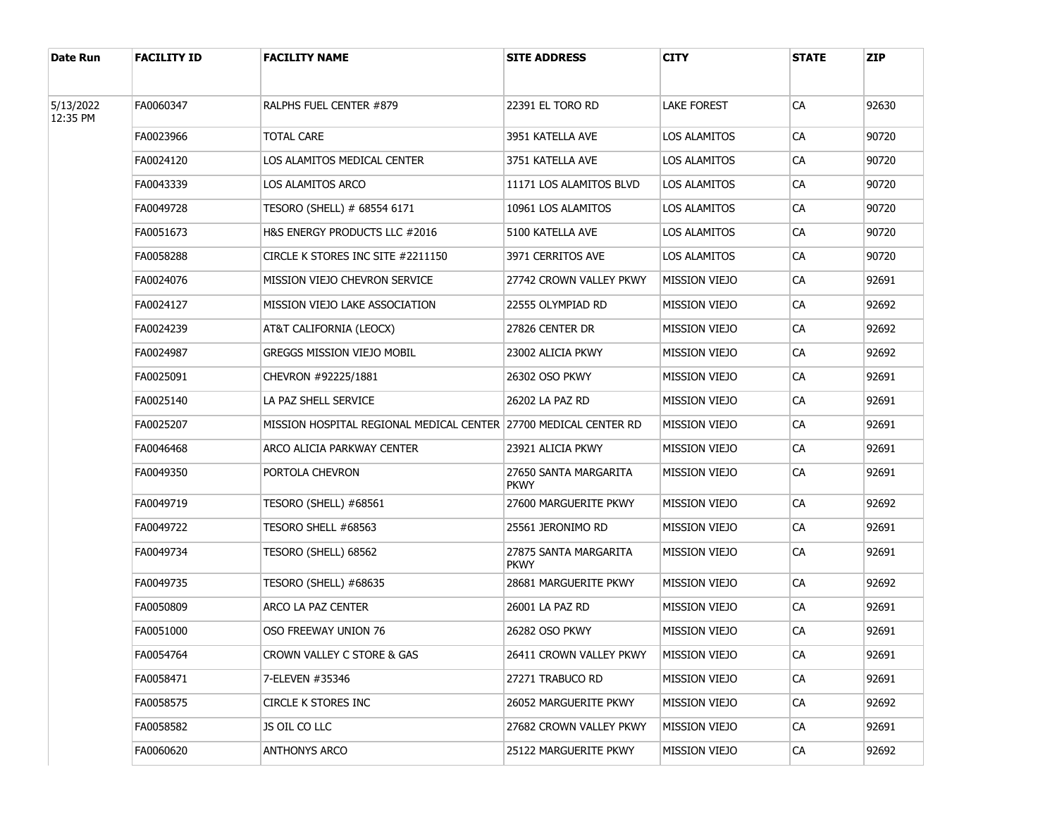| Date Run              | <b>FACILITY ID</b> | <b>FACILITY NAME</b>              | <b>SITE ADDRESS</b>                  | <b>CITY</b>          | <b>STATE</b> | <b>ZIP</b> |
|-----------------------|--------------------|-----------------------------------|--------------------------------------|----------------------|--------------|------------|
| 5/13/2022<br>12:35 PM | FA0060347          | RALPHS FUEL CENTER #879           | 22391 EL TORO RD                     | LAKE FOREST          | CA           | 92630      |
|                       | FA0023966          | <b>TOTAL CARE</b>                 | 3951 KATELLA AVE                     | LOS ALAMITOS         | CA           | 90720      |
|                       | FA0024120          | LOS ALAMITOS MEDICAL CENTER       | 3751 KATELLA AVE                     | LOS ALAMITOS         | CA           | 90720      |
|                       | FA0043339          | LOS ALAMITOS ARCO                 | 11171 LOS ALAMITOS BLVD              | LOS ALAMITOS         | CA           | 90720      |
|                       | FA0049728          | TESORO (SHELL) # 68554 6171       | 10961 LOS ALAMITOS                   | LOS ALAMITOS         | CA           | 90720      |
|                       | FA0051673          | H&S ENERGY PRODUCTS LLC #2016     | 5100 KATELLA AVE                     | LOS ALAMITOS         | CA           | 90720      |
|                       | FA0058288          | CIRCLE K STORES INC SITE #2211150 | 3971 CERRITOS AVE                    | LOS ALAMITOS         | CA           | 90720      |
|                       | FA0024076          | MISSION VIEJO CHEVRON SERVICE     | 27742 CROWN VALLEY PKWY              | <b>MISSION VIEJO</b> | <b>CA</b>    | 92691      |
|                       | FA0024127          | MISSION VIEJO LAKE ASSOCIATION    | 22555 OLYMPIAD RD                    | MISSION VIEJO        | <b>CA</b>    | 92692      |
|                       | FA0024239          | AT&T CALIFORNIA (LEOCX)           | 27826 CENTER DR                      | MISSION VIEJO        | <b>CA</b>    | 92692      |
|                       | FA0024987          | GREGGS MISSION VIEJO MOBIL        | 23002 ALICIA PKWY                    | MISSION VIEJO        | CA           | 92692      |
|                       | FA0025091          | CHEVRON #92225/1881               | 26302 OSO PKWY                       | MISSION VIEJO        | <b>CA</b>    | 92691      |
|                       | FA0025140          | LA PAZ SHELL SERVICE              | 26202 LA PAZ RD                      | MISSION VIEJO        | CA           | 92691      |
|                       | FA0025207          |                                   |                                      | MISSION VIEJO        | <b>CA</b>    | 92691      |
|                       | FA0046468          | ARCO ALICIA PARKWAY CENTER        | 23921 ALICIA PKWY                    | <b>MISSION VIEJO</b> | <b>CA</b>    | 92691      |
|                       | FA0049350          | PORTOLA CHEVRON                   | 27650 SANTA MARGARITA<br><b>PKWY</b> | MISSION VIEJO        | CA           | 92691      |
|                       | FA0049719          | TESORO (SHELL) #68561             | 27600 MARGUERITE PKWY                | <b>MISSION VIEJO</b> | CA           | 92692      |
|                       | FA0049722          | TESORO SHELL #68563               | 25561 JERONIMO RD                    | <b>MISSION VIEJO</b> | CA           | 92691      |
|                       | FA0049734          | TESORO (SHELL) 68562              | 27875 SANTA MARGARITA<br><b>PKWY</b> | <b>MISSION VIEJO</b> | CA           | 92691      |
|                       | FA0049735          | TESORO (SHELL) #68635             | 28681 MARGUERITE PKWY                | <b>MISSION VIEJO</b> | CA           | 92692      |
|                       | FA0050809          | ARCO LA PAZ CENTER                | 26001 LA PAZ RD                      | <b>MISSION VIEJO</b> | CA           | 92691      |
|                       | FA0051000          | OSO FREEWAY UNION 76              | 26282 OSO PKWY                       | <b>MISSION VIEJO</b> | CA           | 92691      |
|                       | FA0054764          | CROWN VALLEY C STORE & GAS        | 26411 CROWN VALLEY PKWY              | MISSION VIEJO        | CA           | 92691      |
|                       | FA0058471          | 7-ELEVEN #35346                   | 27271 TRABUCO RD                     | <b>MISSION VIEJO</b> | CA           | 92691      |
|                       | FA0058575          | CIRCLE K STORES INC               | 26052 MARGUERITE PKWY                | <b>MISSION VIEJO</b> | CA           | 92692      |
|                       | FA0058582          | JS OIL CO LLC                     | 27682 CROWN VALLEY PKWY              | <b>MISSION VIEJO</b> | CA           | 92691      |
|                       | FA0060620          | <b>ANTHONYS ARCO</b>              | 25122 MARGUERITE PKWY                | <b>MISSION VIEJO</b> | CA           | 92692      |
|                       |                    |                                   |                                      |                      |              |            |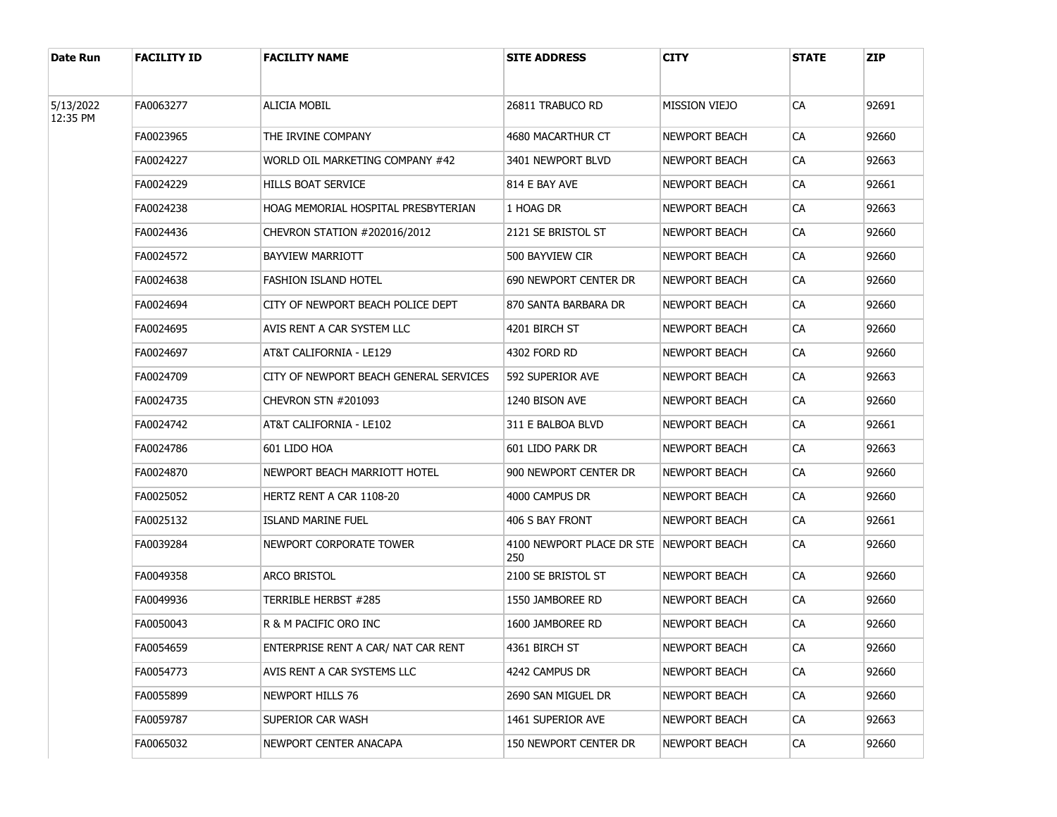| Date Run  | <b>FACILITY ID</b> | <b>FACILITY NAME</b>                   | <b>SITE ADDRESS</b>                              | CITY          | <b>STATE</b> | <b>ZIP</b> |
|-----------|--------------------|----------------------------------------|--------------------------------------------------|---------------|--------------|------------|
| 5/13/2022 | FA0063277          | <b>ALICIA MOBIL</b>                    | 26811 TRABUCO RD                                 | MISSION VIEJO | CA           | 92691      |
| 12:35 PM  |                    |                                        |                                                  |               |              |            |
|           | FA0023965          | THE IRVINE COMPANY                     | 4680 MACARTHUR CT                                | NEWPORT BEACH | CA           | 92660      |
|           | FA0024227          | WORLD OIL MARKETING COMPANY #42        | 3401 NEWPORT BLVD                                | NEWPORT BEACH | СA           | 92663      |
|           | FA0024229          | HILLS BOAT SERVICE                     | 814 E BAY AVE                                    | NEWPORT BEACH | CA           | 92661      |
|           | FA0024238          | HOAG MEMORIAL HOSPITAL PRESBYTERIAN    | 1 HOAG DR                                        | NEWPORT BEACH | СA           | 92663      |
|           | FA0024436          | CHEVRON STATION #202016/2012           | 2121 SE BRISTOL ST                               | NEWPORT BEACH | CA           | 92660      |
|           | FA0024572          | BAYVIEW MARRIOTT                       | 500 BAYVIEW CIR                                  | NEWPORT BEACH | СA           | 92660      |
|           | FA0024638          | <b>FASHION ISLAND HOTEL</b>            | 690 NEWPORT CENTER DR                            | NEWPORT BEACH | CA           | 92660      |
|           | FA0024694          | CITY OF NEWPORT BEACH POLICE DEPT      | 870 SANTA BARBARA DR                             | NEWPORT BEACH | CA           | 92660      |
|           | FA0024695          | AVIS RENT A CAR SYSTEM LLC             | 4201 BIRCH ST                                    | NEWPORT BEACH | CA           | 92660      |
|           | FA0024697          | AT&T CALIFORNIA - LE129                | 4302 FORD RD                                     | NEWPORT BEACH | CA           | 92660      |
|           | FA0024709          | CITY OF NEWPORT BEACH GENERAL SERVICES | 592 SUPERIOR AVE                                 | NEWPORT BEACH | CA           | 92663      |
|           | FA0024735          | <b>CHEVRON STN #201093</b>             | 1240 BISON AVE                                   | NEWPORT BEACH | CA           | 92660      |
|           | FA0024742          | AT&T CALIFORNIA - LE102                | 311 E BALBOA BLVD                                | NEWPORT BEACH | CA           | 92661      |
|           | FA0024786          | 601 LIDO HOA                           | 601 LIDO PARK DR                                 | NEWPORT BEACH | CA           | 92663      |
|           | FA0024870          | NEWPORT BEACH MARRIOTT HOTEL           | 900 NEWPORT CENTER DR                            | NEWPORT BEACH | CA           | 92660      |
|           | FA0025052          | HERTZ RENT A CAR 1108-20               | 4000 CAMPUS DR                                   | NEWPORT BEACH | CA           | 92660      |
|           | FA0025132          | ISLAND MARINE FUEL                     | 406 S BAY FRONT                                  | NEWPORT BEACH | СA           | 92661      |
|           | FA0039284          | NEWPORT CORPORATE TOWER                | 4100 NEWPORT PLACE DR STE   NEWPORT BEACH<br>250 |               | CA           | 92660      |
|           | FA0049358          | ARCO BRISTOL                           | 2100 SE BRISTOL ST                               | NEWPORT BEACH | СA           | 92660      |
|           | FA0049936          | TERRIBLE HERBST #285                   | 1550 JAMBOREE RD                                 | NEWPORT BEACH | CA           | 92660      |
|           | FA0050043          | R & M PACIFIC ORO INC                  | 1600 JAMBOREE RD                                 | NEWPORT BEACH | CA           | 92660      |
|           | FA0054659          | ENTERPRISE RENT A CAR/ NAT CAR RENT    | 4361 BIRCH ST                                    | NEWPORT BEACH | CA           | 92660      |
|           | FA0054773          | AVIS RENT A CAR SYSTEMS LLC            | 4242 Campus Dr                                   | NEWPORT BEACH | CA           | 92660      |
|           | FA0055899          | NEWPORT HILLS 76                       | 2690 SAN MIGUEL DR                               | NEWPORT BEACH | <b>CA</b>    | 92660      |
|           | FA0059787          | SUPERIOR CAR WASH                      | 1461 SUPERIOR AVE                                | NEWPORT BEACH | CA           | 92663      |
|           | FA0065032          | NEWPORT CENTER ANACAPA                 | 150 NEWPORT CENTER DR                            | NEWPORT BEACH | CA           | 92660      |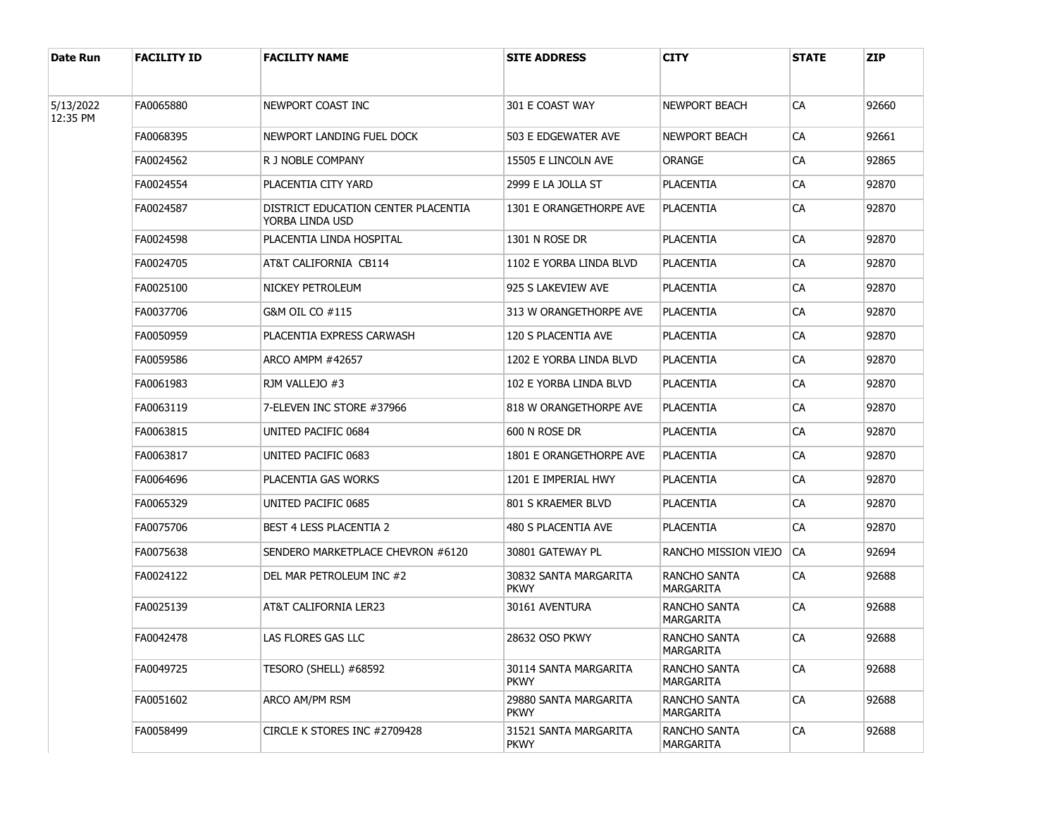| Date Run              | <b>FACILITY ID</b> | <b>FACILITY NAME</b>                                   | <b>SITE ADDRESS</b>                  | CITY                                    | <b>STATE</b> | <b>ZIP</b> |
|-----------------------|--------------------|--------------------------------------------------------|--------------------------------------|-----------------------------------------|--------------|------------|
| 5/13/2022<br>12:35 PM | FA0065880          | NEWPORT COAST INC                                      | 301 E COAST WAY                      | NEWPORT BEACH                           | CA           | 92660      |
|                       | FA0068395          | NEWPORT LANDING FUEL DOCK                              | 503 E EDGEWATER AVE                  | NEWPORT BEACH                           | CA           | 92661      |
|                       | FA0024562          | R J NOBLE COMPANY                                      | 15505 E LINCOLN AVE                  | ORANGE                                  | CA           | 92865      |
|                       | FA0024554          | PLACENTIA CITY YARD                                    | 2999 E LA JOLLA ST                   | PLACENTIA                               | CA           | 92870      |
|                       | FA0024587          | DISTRICT EDUCATION CENTER PLACENTIA<br>YORBA LINDA USD | 1301 E ORANGETHORPE AVE              | <b>PLACENTIA</b>                        | CA           | 92870      |
|                       | FA0024598          | PLACENTIA LINDA HOSPITAL                               | 1301 N ROSE DR                       | <b>PLACENTIA</b>                        | CA           | 92870      |
|                       | FA0024705          | AT&T CALIFORNIA CB114                                  | 1102 E YORBA LINDA BLVD              | <b>PLACENTIA</b>                        | CA           | 92870      |
|                       | FA0025100          | NICKEY PETROLEUM                                       | 925 S LAKEVIEW AVE                   | <b>PLACENTIA</b>                        | СA           | 92870      |
|                       | FA0037706          | G&M OIL CO #115                                        | 313 W ORANGETHORPE AVE               | PLACENTIA                               | CA           | 92870      |
|                       | FA0050959          | PLACENTIA EXPRESS CARWASH                              | 120 S PLACENTIA AVE                  | <b>PLACENTIA</b>                        | СA           | 92870      |
|                       | FA0059586          | ARCO AMPM #42657                                       | 1202 E YORBA LINDA BLVD              | PLACENTIA                               | CA           | 92870      |
|                       | FA0061983          | RJM VALLEJO #3                                         | 102 E YORBA LINDA BLVD               | <b>PLACENTIA</b>                        | СA           | 92870      |
|                       | FA0063119          | 7-ELEVEN INC STORE #37966                              | 818 W ORANGETHORPE AVE               | PLACENTIA                               | CA           | 92870      |
|                       | FA0063815          | UNITED PACIFIC 0684                                    | 600 N ROSE DR                        | <b>PLACENTIA</b>                        | СA           | 92870      |
|                       | FA0063817          | UNITED PACIFIC 0683                                    | 1801 E ORANGETHORPE AVE              | PLACENTIA                               | CA           | 92870      |
|                       | FA0064696          | <b>PLACENTIA GAS WORKS</b>                             | 1201 E IMPERIAL HWY                  | <b>PLACENTIA</b>                        | СA           | 92870      |
|                       | FA0065329          | UNITED PACIFIC 0685                                    | 801 S KRAEMER BLVD                   | PLACENTIA                               | СA           | 92870      |
|                       | FA0075706          | <b>BEST 4 LESS PLACENTIA 2</b>                         | 480 S PLACENTIA AVE                  | <b>PLACENTIA</b>                        | СA           | 92870      |
|                       | FA0075638          | SENDERO MARKETPLACE CHEVRON #6120                      | 30801 GATEWAY PL                     | RANCHO MISSION VIEJO                    | CA           | 92694      |
|                       | FA0024122          | DEL MAR PETROLEUM INC #2                               | 30832 SANTA MARGARITA<br><b>PKWY</b> | RANCHO SANTA<br>MARGARITA               | CA           | 92688      |
|                       | FA0025139          | AT&T CALIFORNIA LER23                                  | 30161 AVENTURA                       | RANCHO SANTA<br>MARGARITA               | CA           | 92688      |
|                       | FA0042478          | LAS FLORES GAS LLC                                     | 28632 OSO PKWY                       | RANCHO SANTA<br>MARGARITA               | CA           | 92688      |
|                       | FA0049725          | TESORO (SHELL) #68592                                  | 30114 SANTA MARGARITA<br><b>PKWY</b> | RANCHO SANTA<br>MARGARITA               | CA           | 92688      |
|                       | FA0051602          | ARCO AM/PM RSM                                         | 29880 SANTA MARGARITA<br><b>PKWY</b> | <b>RANCHO SANTA</b><br><b>MARGARITA</b> | CA           | 92688      |
|                       | FA0058499          | CIRCLE K STORES INC #2709428                           | 31521 SANTA MARGARITA<br><b>PKWY</b> | RANCHO SANTA<br>MARGARITA               | CA           | 92688      |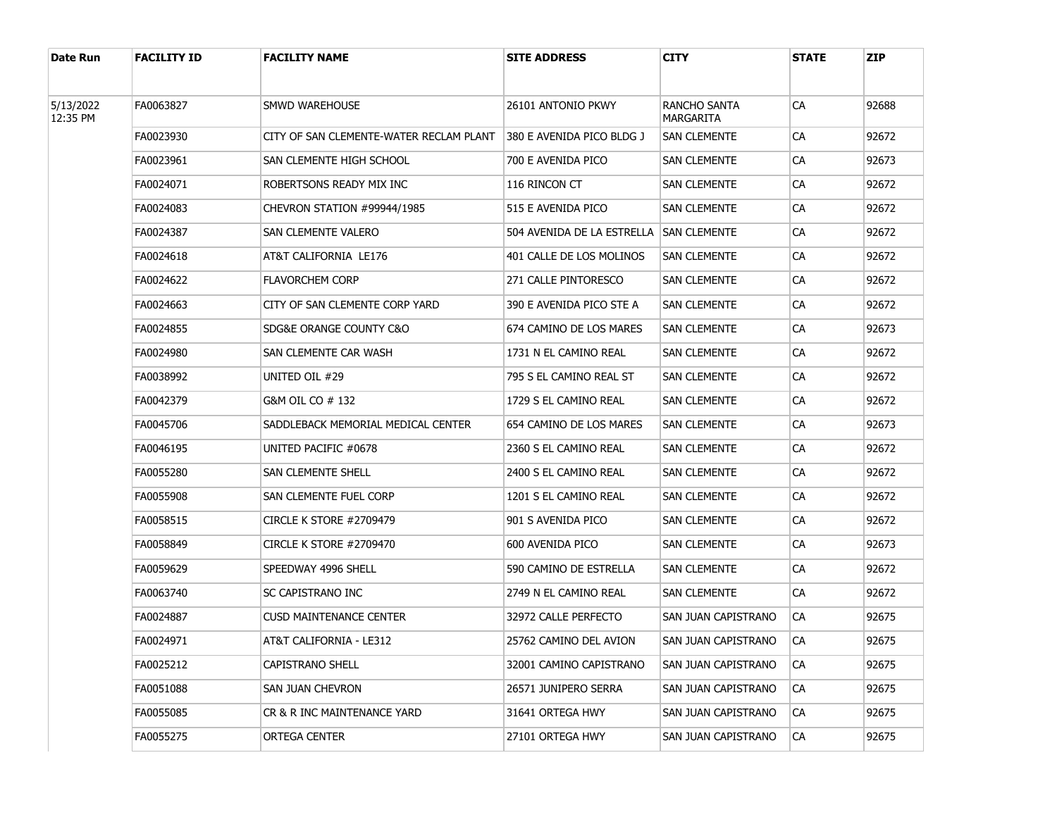| Date Run              | <b>FACILITY ID</b> | <b>FACILITY NAME</b>                    | <b>SITE ADDRESS</b>        | CITY                      | <b>STATE</b> | <b>ZIP</b> |
|-----------------------|--------------------|-----------------------------------------|----------------------------|---------------------------|--------------|------------|
| 5/13/2022<br>12:35 PM | FA0063827          | SMWD WAREHOUSE                          | 26101 ANTONIO PKWY         | RANCHO SANTA<br>MARGARITA | CA           | 92688      |
|                       | FA0023930          | CITY OF SAN CLEMENTE-WATER RECLAM PLANT | 380 E AVENIDA PICO BLDG J  | SAN CLEMENTE              | CA           | 92672      |
|                       | FA0023961          | SAN CLEMENTE HIGH SCHOOL                | 700 E AVENIDA PICO         | SAN CLEMENTE              | CA           | 92673      |
|                       | FA0024071          | ROBERTSONS READY MIX INC                | 116 RINCON CT              | SAN CLEMENTE              | CA           | 92672      |
|                       | FA0024083          | CHEVRON STATION #99944/1985             | 515 E AVENIDA PICO         | SAN CLEMENTE              | CA           | 92672      |
|                       | FA0024387          | SAN CLEMENTE VALERO                     | 504 AVENIDA DE LA ESTRELLA | <b>SAN CLEMENTE</b>       | CA           | 92672      |
|                       | FA0024618          | AT&T CALIFORNIA LE176                   | 401 CALLE DE LOS MOLINOS   | SAN CLEMENTE              | CA           | 92672      |
|                       | FA0024622          | <b>FLAVORCHEM CORP</b>                  | 271 CALLE PINTORESCO       | SAN CLEMENTE              | CA           | 92672      |
|                       | FA0024663          | CITY OF SAN CLEMENTE CORP YARD          | 390 E AVENIDA PICO STE A   | SAN CLEMENTE              | CA           | 92672      |
|                       | FA0024855          | SDG&E ORANGE COUNTY C&O                 | 674 CAMINO DE LOS MARES    | SAN CLEMENTE              | CA           | 92673      |
|                       | FA0024980          | SAN CLEMENTE CAR WASH                   | 1731 N EL CAMINO REAL      | SAN CLEMENTE              | CA           | 92672      |
|                       | FA0038992          | UNITED OIL #29                          | 795 S EL CAMINO REAL ST    | SAN CLEMENTE              | CA           | 92672      |
|                       | FA0042379          | G&M OIL CO # 132                        | 1729 S EL CAMINO REAL      | SAN CLEMENTE              | CA           | 92672      |
|                       | FA0045706          | SADDLEBACK MEMORIAL MEDICAL CENTER      | 654 CAMINO DE LOS MARES    | SAN CLEMENTE              | CA           | 92673      |
|                       | FA0046195          | UNITED PACIFIC #0678                    | 2360 S EL CAMINO REAL      | SAN CLEMENTE              | CA           | 92672      |
|                       | FA0055280          | SAN CLEMENTE SHELL                      | 2400 S EL CAMINO REAL      | SAN CLEMENTE              | CA           | 92672      |
|                       | FA0055908          | SAN CLEMENTE FUEL CORP                  | 1201 S EL CAMINO REAL      | SAN CLEMENTE              | CA           | 92672      |
|                       | FA0058515          | CIRCLE K STORE #2709479                 | 901 S AVENIDA PICO         | SAN CLEMENTE              | CA           | 92672      |
|                       | FA0058849          | CIRCLE K STORE #2709470                 | 600 AVENIDA PICO           | SAN CLEMENTE              | СA           | 92673      |
|                       | FA0059629          | SPEEDWAY 4996 SHELL                     | 590 CAMINO DE ESTRELLA     | SAN CLEMENTE              | CA           | 92672      |
|                       | FA0063740          | SC CAPISTRANO INC                       | 2749 N EL CAMINO REAL      | SAN CLEMENTE              | СA           | 92672      |
|                       | FA0024887          | <b>CUSD MAINTENANCE CENTER</b>          | 32972 CALLE PERFECTO       | SAN JUAN CAPISTRANO       | <b>CA</b>    | 92675      |
|                       | FA0024971          | AT&T CALIFORNIA - LE312                 | 25762 CAMINO DEL AVION     | SAN JUAN CAPISTRANO       | CA           | 92675      |
|                       | FA0025212          | CAPISTRANO SHELL                        | 32001 CAMINO CAPISTRANO    | SAN JUAN CAPISTRANO       | <b>CA</b>    | 92675      |
|                       | FA0051088          | SAN JUAN CHEVRON                        | 26571 JUNIPERO SERRA       | SAN JUAN CAPISTRANO       | CA           | 92675      |
|                       | FA0055085          | CR & R INC MAINTENANCE YARD             | 31641 ORTEGA HWY           | SAN JUAN CAPISTRANO       | <b>CA</b>    | 92675      |
|                       | FA0055275          | <b>ORTEGA CENTER</b>                    | 27101 ORTEGA HWY           | SAN JUAN CAPISTRANO       | CA           | 92675      |
|                       |                    |                                         |                            |                           |              |            |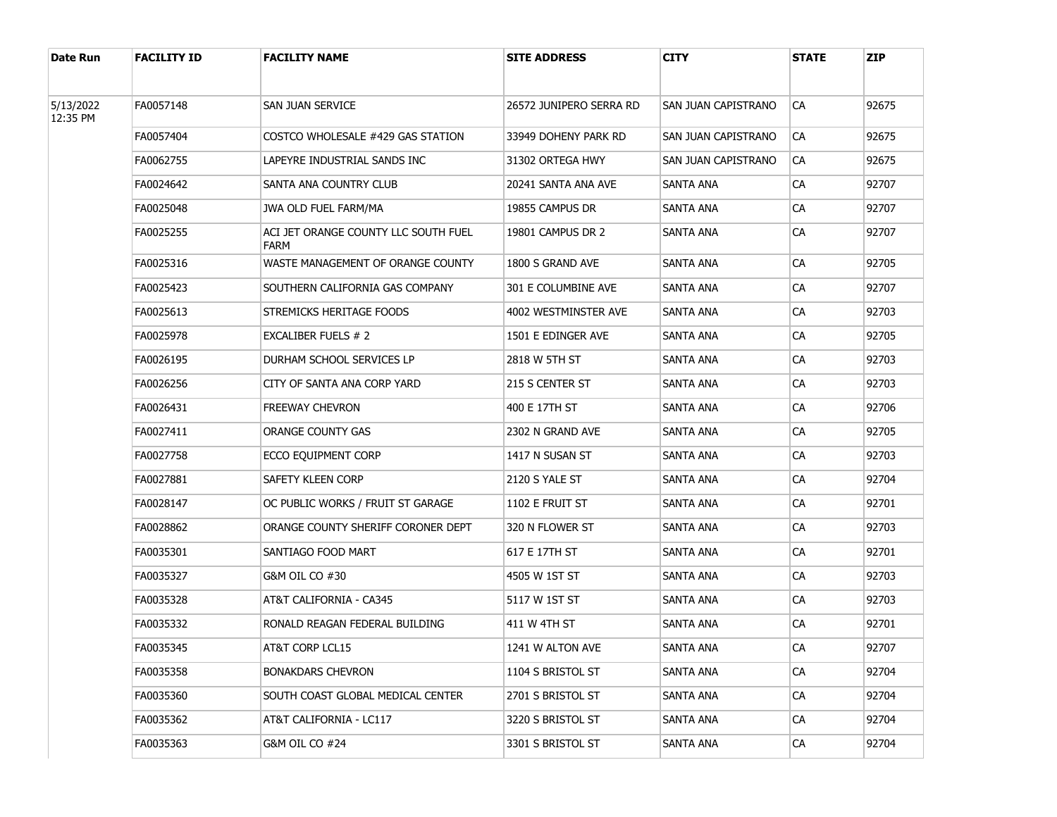| Date Run              | <b>FACILITY ID</b> | <b>FACILITY NAME</b>                         | <b>SITE ADDRESS</b>     | <b>CITY</b>         | <b>STATE</b> | <b>ZIP</b> |
|-----------------------|--------------------|----------------------------------------------|-------------------------|---------------------|--------------|------------|
| 5/13/2022<br>12:35 PM | FA0057148          | SAN JUAN SERVICE                             | 26572 JUNIPERO SERRA RD | SAN JUAN CAPISTRANO | CA           | 92675      |
|                       | FA0057404          | COSTCO WHOLESALE #429 GAS STATION            | 33949 DOHENY PARK RD    | SAN JUAN CAPISTRANO | CA           | 92675      |
|                       | FA0062755          | LAPEYRE INDUSTRIAL SANDS INC                 | 31302 ORTEGA HWY        | SAN JUAN CAPISTRANO | CA           | 92675      |
|                       | FA0024642          | SANTA ANA COUNTRY CLUB                       | 20241 SANTA ANA AVE     | SANTA ANA           | CA           | 92707      |
|                       | FA0025048          | JWA OLD FUEL FARM/MA                         | 19855 CAMPUS DR         | SANTA ANA           | CA           | 92707      |
|                       | FA0025255          | ACI JET ORANGE COUNTY LLC SOUTH FUEL<br>FARM | 19801 CAMPUS DR 2       | SANTA ANA           | CA           | 92707      |
|                       | FA0025316          | WASTE MANAGEMENT OF ORANGE COUNTY            | 1800 S GRAND AVE        | SANTA ANA           | CA           | 92705      |
|                       | FA0025423          | SOUTHERN CALIFORNIA GAS COMPANY              | 301 E COLUMBINE AVE     | SANTA ANA           | CA           | 92707      |
|                       | FA0025613          | STREMICKS HERITAGE FOODS                     | 4002 WESTMINSTER AVE    | SANTA ANA           | СA           | 92703      |
|                       | FA0025978          | EXCALIBER FUELS # 2                          | 1501 E EDINGER AVE      | SANTA ANA           | СA           | 92705      |
|                       | FA0026195          | DURHAM SCHOOL SERVICES LP                    | 2818 W 5TH ST           | SANTA ANA           | СA           | 92703      |
|                       | FA0026256          | CITY OF SANTA ANA CORP YARD                  | 215 S CENTER ST         | SANTA ANA           | СA           | 92703      |
|                       | FA0026431          | <b>FREEWAY CHEVRON</b>                       | 400 E 17TH ST           | SANTA ANA           | СA           | 92706      |
|                       | FA0027411          | ORANGE COUNTY GAS                            | 2302 N GRAND AVE        | SANTA ANA           | СA           | 92705      |
|                       | FA0027758          | ECCO EQUIPMENT CORP                          | 1417 N SUSAN ST         | SANTA ANA           | СA           | 92703      |
|                       | FA0027881          | SAFETY KLEEN CORP                            | 2120 S YALE ST          | SANTA ANA           | СA           | 92704      |
|                       | FA0028147          | OC PUBLIC WORKS / FRUIT ST GARAGE            | 1102 E FRUIT ST         | SANTA ANA           | СA           | 92701      |
|                       | FA0028862          | ORANGE COUNTY SHERIFF CORONER DEPT           | 320 N FLOWER ST         | SANTA ANA           | СA           | 92703      |
|                       | FA0035301          | SANTIAGO FOOD MART                           | 617 E 17TH ST           | SANTA ANA           | СA           | 92701      |
|                       | FA0035327          | G&M OIL CO #30                               | 4505 W 1ST ST           | <b>SANTA ANA</b>    | СA           | 92703      |
|                       | FA0035328          | AT&T CALIFORNIA - CA345                      | 5117 W 1ST ST           | SANTA ANA           | СA           | 92703      |
|                       | FA0035332          | RONALD REAGAN FEDERAL BUILDING               | 411 W 4TH ST            | SANTA ANA           | СA           | 92701      |
|                       | FA0035345          | AT&T CORP LCL15                              | 1241 W ALTON AVE        | SANTA ANA           | CA           | 92707      |
|                       | FA0035358          | <b>BONAKDARS CHEVRON</b>                     | 1104 S BRISTOL ST       | SANTA ANA           | CA           | 92704      |
|                       | FA0035360          | SOUTH COAST GLOBAL MEDICAL CENTER            | 2701 S BRISTOL ST       | SANTA ANA           | CA           | 92704      |
|                       | FA0035362          | AT&T CALIFORNIA - LC117                      | 3220 S BRISTOL ST       | SANTA ANA           | <b>CA</b>    | 92704      |
|                       | FA0035363          | G&M OIL CO #24                               | 3301 S BRISTOL ST       | SANTA ANA           | CA           | 92704      |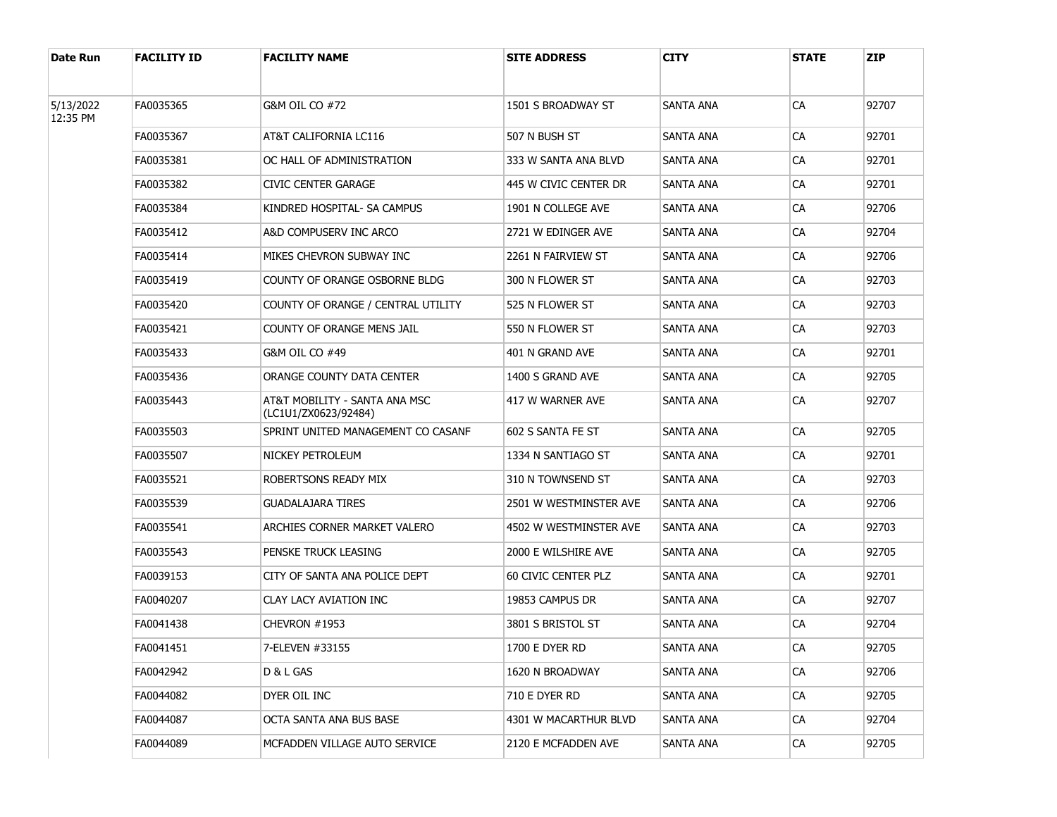| Date Run  | <b>FACILITY ID</b> | <b>FACILITY NAME</b>                                  | <b>SITE ADDRESS</b>    | CITY      | <b>STATE</b> | <b>ZIP</b> |
|-----------|--------------------|-------------------------------------------------------|------------------------|-----------|--------------|------------|
| 5/13/2022 | FA0035365          | G&M OIL CO #72                                        | 1501 S BROADWAY ST     | SANTA ANA | CA           | 92707      |
| 12:35 PM  | FA0035367          | AT&T CALIFORNIA LC116                                 | 507 N BUSH ST          | SANTA ANA | CA           | 92701      |
|           | FA0035381          | OC HALL OF ADMINISTRATION                             | 333 W SANTA ANA BLVD   | SANTA ANA | CA           | 92701      |
|           | FA0035382          | CIVIC CENTER GARAGE                                   | 445 W CIVIC CENTER DR  | SANTA ANA | CA           | 92701      |
|           | FA0035384          | KINDRED HOSPITAL- SA CAMPUS                           | 1901 N COLLEGE AVE     | SANTA ANA | CA           | 92706      |
|           | FA0035412          | A&D COMPUSERV INC ARCO                                | 2721 W EDINGER AVE     | SANTA ANA | CA           | 92704      |
|           | FA0035414          | MIKES CHEVRON SUBWAY INC                              | 2261 N FAIRVIEW ST     | SANTA ANA | CA           | 92706      |
|           | FA0035419          | COUNTY OF ORANGE OSBORNE BLDG                         | 300 N FLOWER ST        | SANTA ANA | CA           | 92703      |
|           | FA0035420          | COUNTY OF ORANGE / CENTRAL UTILITY                    | 525 N FLOWER ST        | SANTA ANA | СA           | 92703      |
|           | FA0035421          | COUNTY OF ORANGE MENS JAIL                            | 550 N FLOWER ST        | SANTA ANA | CA           | 92703      |
|           | FA0035433          | G&M OIL CO #49                                        | 401 N GRAND AVE        | SANTA ANA | CA           | 92701      |
|           | FA0035436          | ORANGE COUNTY DATA CENTER                             | 1400 S GRAND AVE       | SANTA ANA | CA           | 92705      |
|           | FA0035443          | AT&T MOBILITY - SANTA ANA MSC<br>(LC1U1/ZX0623/92484) | 417 W WARNER AVE       | SANTA ANA | СA           | 92707      |
|           | FA0035503          | SPRINT UNITED MANAGEMENT CO CASANF                    | 602 S SANTA FE ST      | SANTA ANA | CA           | 92705      |
|           | FA0035507          | NICKEY PETROLEUM                                      | 1334 N SANTIAGO ST     | SANTA ANA | СA           | 92701      |
|           | FA0035521          | ROBERTSONS READY MIX                                  | 310 N TOWNSEND ST      | SANTA ANA | СA           | 92703      |
|           | FA0035539          | <b>GUADALAJARA TIRES</b>                              | 2501 W WESTMINSTER AVE | SANTA ANA | СA           | 92706      |
|           | FA0035541          | ARCHIES CORNER MARKET VALERO                          | 4502 W WESTMINSTER AVE | SANTA ANA | СA           | 92703      |
|           | FA0035543          | PENSKE TRUCK LEASING                                  | 2000 E WILSHIRE AVE    | SANTA ANA | СA           | 92705      |
|           | FA0039153          | CITY OF SANTA ANA POLICE DEPT                         | 60 CIVIC CENTER PLZ    | SANTA ANA | СA           | 92701      |
|           | FA0040207          | CLAY LACY AVIATION INC                                | 19853 CAMPUS DR        | SANTA ANA | СA           | 92707      |
|           | FA0041438          | CHEVRON #1953                                         | 3801 S BRISTOL ST      | SANTA ANA | СA           | 92704      |
|           | FA0041451          | 7-ELEVEN #33155                                       | 1700 E DYER RD         | SANTA ANA | CA           | 92705      |
|           | FA0042942          | D & L GAS                                             | 1620 N BROADWAY        | SANTA ANA | CA           | 92706      |
|           | FA0044082          | DYER OIL INC                                          | 710 E DYER RD          | SANTA ANA | CA           | 92705      |
|           | FA0044087          | OCTA SANTA ANA BUS BASE                               | 4301 W MACARTHUR BLVD  | SANTA ANA | CA           | 92704      |
|           | FA0044089          | MCFADDEN VILLAGE AUTO SERVICE                         | 2120 E MCFADDEN AVE    | SANTA ANA | CA           | 92705      |
|           |                    |                                                       |                        |           |              |            |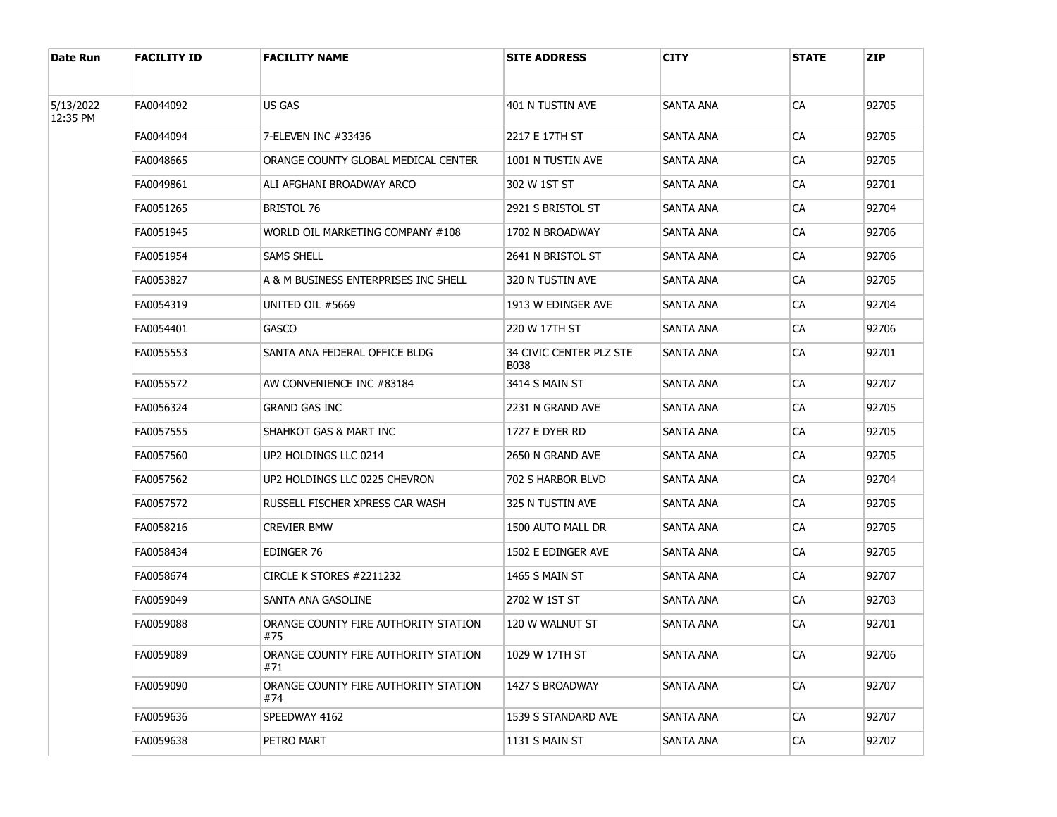| Date Run              | <b>FACILITY ID</b> | <b>FACILITY NAME</b>                        | <b>SITE ADDRESS</b>             | <b>CITY</b>      | <b>STATE</b> | <b>ZIP</b> |
|-----------------------|--------------------|---------------------------------------------|---------------------------------|------------------|--------------|------------|
|                       |                    |                                             |                                 |                  |              |            |
| 5/13/2022<br>12:35 PM | FA0044092          | US GAS                                      | 401 N TUSTIN AVE                | SANTA ANA        | CA           | 92705      |
|                       | FA0044094          | 7-ELEVEN INC #33436                         | 2217 E 17TH ST                  | SANTA ANA        | CA           | 92705      |
|                       | FA0048665          | ORANGE COUNTY GLOBAL MEDICAL CENTER         | 1001 N TUSTIN AVE               | SANTA ANA        | <b>CA</b>    | 92705      |
|                       | FA0049861          | ALI AFGHANI BROADWAY ARCO                   | 302 W 1ST ST                    | SANTA ANA        | <b>CA</b>    | 92701      |
|                       | FA0051265          | <b>BRISTOL 76</b>                           | 2921 S BRISTOL ST               | SANTA ANA        | <b>CA</b>    | 92704      |
|                       | FA0051945          | WORLD OIL MARKETING COMPANY #108            | 1702 N BROADWAY                 | SANTA ANA        | <b>CA</b>    | 92706      |
|                       | FA0051954          | <b>SAMS SHELL</b>                           | 2641 N BRISTOL ST               | SANTA ANA        | <b>CA</b>    | 92706      |
|                       | FA0053827          | A & M BUSINESS ENTERPRISES INC SHELL        | 320 N TUSTIN AVE                | SANTA ANA        | <b>CA</b>    | 92705      |
|                       | FA0054319          | UNITED OIL #5669                            | 1913 W EDINGER AVE              | SANTA ANA        | <b>CA</b>    | 92704      |
|                       | FA0054401          | <b>GASCO</b>                                | 220 W 17TH ST                   | SANTA ANA        | <b>CA</b>    | 92706      |
|                       | FA0055553          | SANTA ANA FEDERAL OFFICE BLDG               | 34 CIVIC CENTER PLZ STE<br>B038 | SANTA ANA        | <b>CA</b>    | 92701      |
|                       | FA0055572          | AW CONVENIENCE INC #83184                   | 3414 S MAIN ST                  | <b>SANTA ANA</b> | CA           | 92707      |
|                       | FA0056324          | <b>GRAND GAS INC</b>                        | 2231 N GRAND AVE                | SANTA ANA        | <b>CA</b>    | 92705      |
|                       | FA0057555          | SHAHKOT GAS & MART INC                      | 1727 E DYER RD                  | SANTA ANA        | CA           | 92705      |
|                       | FA0057560          | UP2 HOLDINGS LLC 0214                       | 2650 N GRAND AVE                | SANTA ANA        | <b>CA</b>    | 92705      |
|                       | FA0057562          | UP2 HOLDINGS LLC 0225 CHEVRON               | 702 S HARBOR BLVD               | SANTA ANA        | CA           | 92704      |
|                       | FA0057572          | RUSSELL FISCHER XPRESS CAR WASH             | 325 N TUSTIN AVE                | SANTA ANA        | <b>CA</b>    | 92705      |
|                       | FA0058216          | CREVIER BMW                                 | 1500 AUTO MALL DR               | SANTA ANA        | CA           | 92705      |
|                       | FA0058434          | EDINGER 76                                  | 1502 E EDINGER AVE              | SANTA ANA        | <b>CA</b>    | 92705      |
|                       | FA0058674          | CIRCLE K STORES #2211232                    | 1465 S MAIN ST                  | <b>SANTA ANA</b> | CA           | 92707      |
|                       | FA0059049          | SANTA ANA GASOLINE                          | 2702 W 1ST ST                   | SANTA ANA        | <b>CA</b>    | 92703      |
|                       | FA0059088          | ORANGE COUNTY FIRE AUTHORITY STATION<br>#75 | 120 W WALNUT ST                 | <b>SANTA ANA</b> | <b>CA</b>    | 92701      |
|                       | FA0059089          | ORANGE COUNTY FIRE AUTHORITY STATION<br>#71 | 1029 W 17TH ST                  | SANTA ANA        | CA           | 92706      |
|                       | FA0059090          | ORANGE COUNTY FIRE AUTHORITY STATION<br>#74 | 1427 S BROADWAY                 | <b>SANTA ANA</b> | CA           | 92707      |
|                       | FA0059636          | SPEEDWAY 4162                               | 1539 S STANDARD AVE             | <b>SANTA ANA</b> | ${\sf CA}$   | 92707      |
|                       | FA0059638          | PETRO MART                                  | 1131 S MAIN ST                  | <b>SANTA ANA</b> | CA           | 92707      |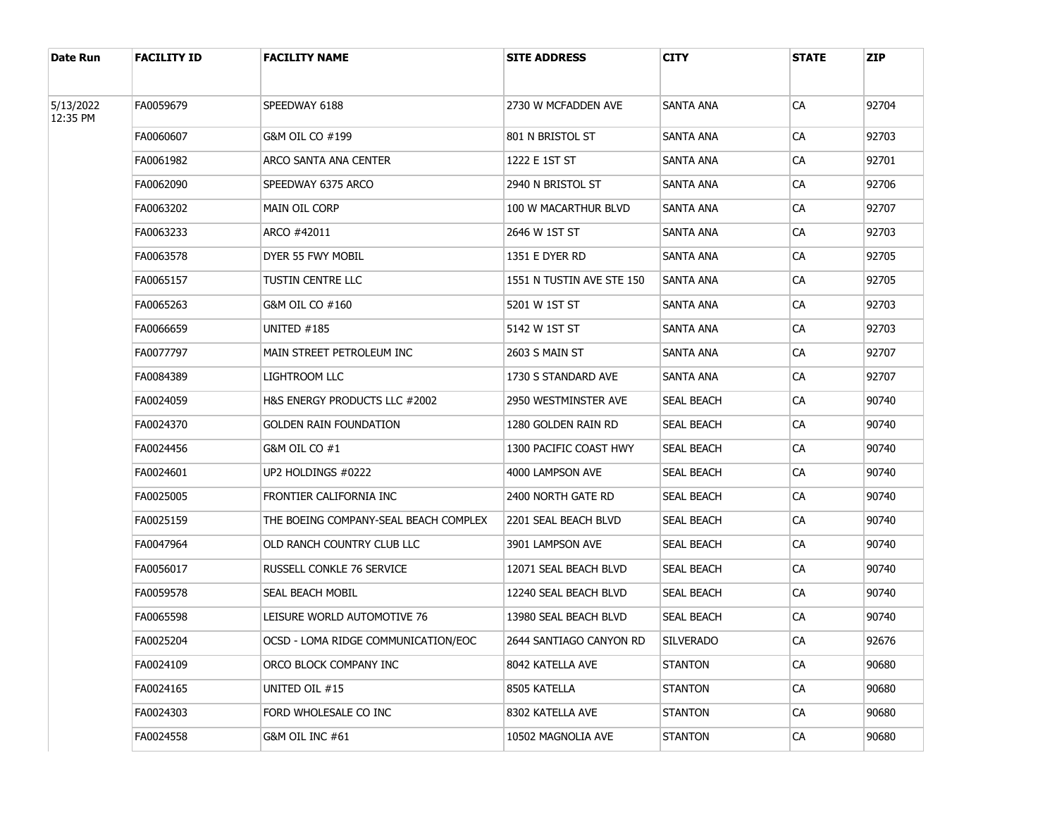| Date Run  | <b>FACILITY ID</b> | <b>FACILITY NAME</b>                  | <b>SITE ADDRESS</b>       | CITY             | <b>STATE</b>                                                                                                                                               | <b>ZIP</b> |
|-----------|--------------------|---------------------------------------|---------------------------|------------------|------------------------------------------------------------------------------------------------------------------------------------------------------------|------------|
| 5/13/2022 | FA0059679          | SPEEDWAY 6188                         | 2730 W MCFADDEN AVE       | SANTA ANA        | <b>CA</b>                                                                                                                                                  | 92704      |
| 12:35 PM  | FA0060607          | G&M OIL CO #199                       | 801 N BRISTOL ST          | SANTA ANA        | <b>CA</b>                                                                                                                                                  | 92703      |
|           | FA0061982          | ARCO SANTA ANA CENTER                 | 1222 E 1ST ST             | SANTA ANA        | CA                                                                                                                                                         | 92701      |
|           | FA0062090          | SPEEDWAY 6375 ARCO                    | 2940 N BRISTOL ST         | SANTA ANA        | CA<br>CA<br>CA<br>CA<br>CA<br>CA<br>CA<br>CA<br>CA<br>CA<br>CA<br>CA<br>CA<br>CA<br>CA<br>CA<br>СA<br>CA<br>СA<br>СA<br><b>CA</b><br>CA<br><b>CA</b><br>CA | 92706      |
|           | FA0063202          | MAIN OIL CORP                         | 100 W MACARTHUR BLVD      | SANTA ANA        |                                                                                                                                                            | 92707      |
|           | FA0063233          | ARCO #42011                           | 2646 W 1ST ST             | SANTA ANA        |                                                                                                                                                            | 92703      |
|           | FA0063578          | DYER 55 FWY MOBIL                     | 1351 E DYER RD            | SANTA ANA        |                                                                                                                                                            | 92705      |
|           | FA0065157          | TUSTIN CENTRE LLC                     | 1551 N TUSTIN AVE STE 150 | SANTA ANA        |                                                                                                                                                            | 92705      |
|           | FA0065263          | G&M OIL CO #160                       | 5201 W 1ST ST             | SANTA ANA        |                                                                                                                                                            | 92703      |
|           | FA0066659          | UNITED #185                           | 5142 W 1ST ST             | SANTA ANA        |                                                                                                                                                            | 92703      |
|           | FA0077797          | MAIN STREET PETROLEUM INC             | 2603 S MAIN ST            | SANTA ANA        |                                                                                                                                                            | 92707      |
|           | FA0084389          | LIGHTROOM LLC                         | 1730 S STANDARD AVE       | SANTA ANA        |                                                                                                                                                            | 92707      |
|           | FA0024059          | H&S ENERGY PRODUCTS LLC #2002         | 2950 WESTMINSTER AVE      | SEAL BEACH       |                                                                                                                                                            | 90740      |
|           | FA0024370          | <b>GOLDEN RAIN FOUNDATION</b>         | 1280 GOLDEN RAIN RD       | SEAL BEACH       |                                                                                                                                                            | 90740      |
|           | FA0024456          | G&M OIL CO #1                         | 1300 PACIFIC COAST HWY    | SEAL BEACH       |                                                                                                                                                            | 90740      |
|           | FA0024601          | UP2 HOLDINGS #0222                    | 4000 LAMPSON AVE          | SEAL BEACH       |                                                                                                                                                            | 90740      |
|           | FA0025005          | FRONTIER CALIFORNIA INC               | 2400 NORTH GATE RD        | SEAL BEACH       |                                                                                                                                                            | 90740      |
|           | FA0025159          | THE BOEING COMPANY-SEAL BEACH COMPLEX | 2201 SEAL BEACH BLVD      | SEAL BEACH       |                                                                                                                                                            | 90740      |
|           | FA0047964          | OLD RANCH COUNTRY CLUB LLC            | 3901 LAMPSON AVE          | SEAL BEACH       |                                                                                                                                                            | 90740      |
|           | FA0056017          | RUSSELL CONKLE 76 SERVICE             | 12071 SEAL BEACH BLVD     | SEAL BEACH       |                                                                                                                                                            | 90740      |
|           | FA0059578          | SEAL BEACH MOBIL                      | 12240 SEAL BEACH BLVD     | SEAL BEACH       |                                                                                                                                                            | 90740      |
|           | FA0065598          | LEISURE WORLD AUTOMOTIVE 76           | 13980 SEAL BEACH BLVD     | SEAL BEACH       |                                                                                                                                                            | 90740      |
|           | FA0025204          | OCSD - LOMA RIDGE COMMUNICATION/EOC   | 2644 SANTIAGO CANYON RD   | <b>SILVERADO</b> |                                                                                                                                                            | 92676      |
|           | FA0024109          | ORCO BLOCK COMPANY INC                | 8042 KATELLA AVE          | <b>STANTON</b>   |                                                                                                                                                            | 90680      |
|           | FA0024165          | UNITED OIL #15                        | 8505 KATELLA              | <b>STANTON</b>   |                                                                                                                                                            | 90680      |
|           | FA0024303          | FORD WHOLESALE CO INC                 | 8302 KATELLA AVE          | <b>STANTON</b>   |                                                                                                                                                            | 90680      |
|           | FA0024558          | G&M OIL INC #61                       | 10502 MAGNOLIA AVE        | <b>STANTON</b>   |                                                                                                                                                            | 90680      |
|           |                    |                                       |                           |                  |                                                                                                                                                            |            |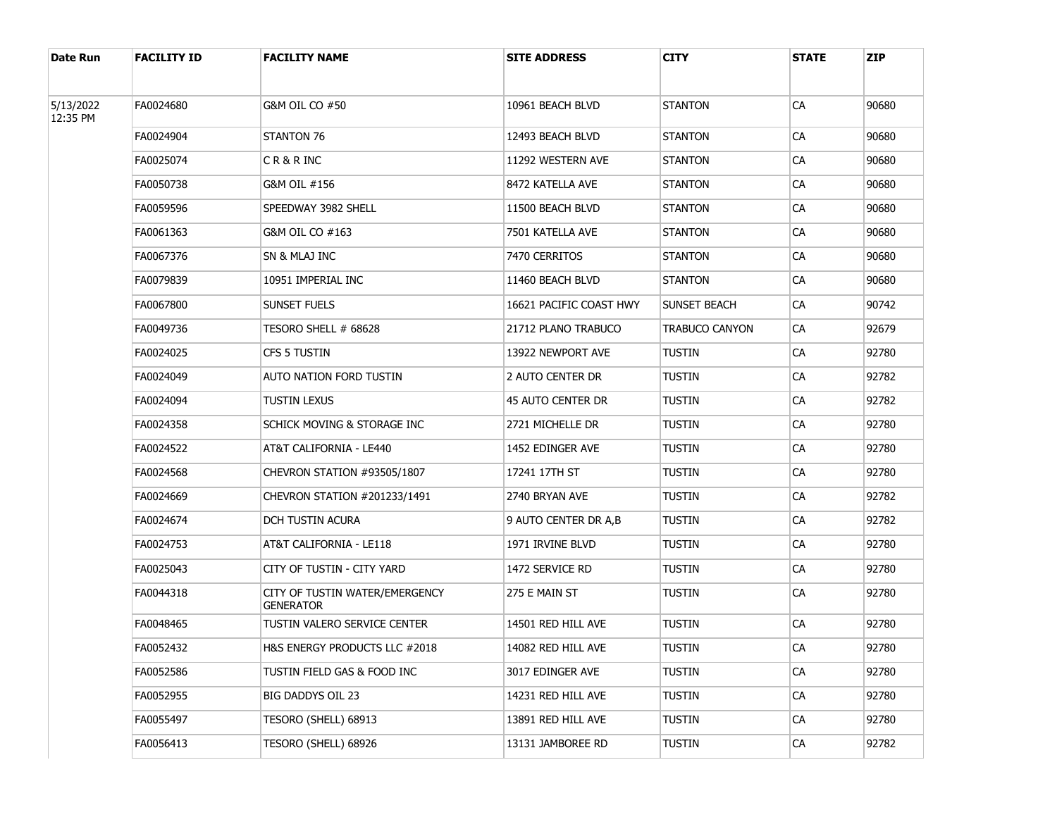| Date Run  | <b>FACILITY ID</b> | <b>FACILITY NAME</b>                               | <b>SITE ADDRESS</b>      | <b>CITY</b>    | <b>STATE</b>                                                                                                                                             | <b>ZIP</b> |
|-----------|--------------------|----------------------------------------------------|--------------------------|----------------|----------------------------------------------------------------------------------------------------------------------------------------------------------|------------|
| 5/13/2022 | FA0024680          | G&M OIL CO #50                                     | 10961 BEACH BLVD         | <b>STANTON</b> | CA                                                                                                                                                       | 90680      |
| 12:35 PM  |                    |                                                    |                          |                |                                                                                                                                                          |            |
|           | FA0024904          | <b>STANTON 76</b>                                  | 12493 BEACH BLVD         | <b>STANTON</b> |                                                                                                                                                          | 90680      |
|           | FA0025074          | CR&RINC                                            | 11292 WESTERN AVE        | <b>STANTON</b> | CA<br>CA<br>CA<br>CA<br>CA<br>CA<br>CA<br>CA<br>CA<br>CA<br>CA<br>CA<br>CA<br>CA<br>CA<br>CA<br>CA<br>CA<br>CA<br>CA<br>CA<br>CA<br>CA<br>CA<br>CA<br>CA | 90680      |
|           | FA0050738          | G&M OIL #156                                       | 8472 KATELLA AVE         | <b>STANTON</b> |                                                                                                                                                          | 90680      |
|           | FA0059596          | SPEEDWAY 3982 SHELL                                | 11500 BEACH BLVD         | <b>STANTON</b> |                                                                                                                                                          | 90680      |
|           | FA0061363          | G&M OIL CO #163                                    | 7501 KATELLA AVE         | <b>STANTON</b> |                                                                                                                                                          | 90680      |
|           | FA0067376          | SN & MLAJ INC                                      | 7470 CERRITOS            | <b>STANTON</b> |                                                                                                                                                          | 90680      |
|           | FA0079839          | 10951 IMPERIAL INC                                 | 11460 BEACH BLVD         | <b>STANTON</b> |                                                                                                                                                          | 90680      |
|           | FA0067800          | SUNSET FUELS                                       | 16621 PACIFIC COAST HWY  | SUNSET BEACH   |                                                                                                                                                          | 90742      |
|           | FA0049736          | TESORO SHELL # 68628                               | 21712 PLANO TRABUCO      | TRABUCO CANYON |                                                                                                                                                          | 92679      |
|           | FA0024025          | CFS 5 TUSTIN                                       | 13922 NEWPORT AVE        | TUSTIN         |                                                                                                                                                          | 92780      |
|           | FA0024049          | AUTO NATION FORD TUSTIN                            | 2 AUTO CENTER DR         | TUSTIN         |                                                                                                                                                          | 92782      |
|           | FA0024094          | TUSTIN LEXUS                                       | <b>45 AUTO CENTER DR</b> | TUSTIN         |                                                                                                                                                          | 92782      |
|           | FA0024358          | SCHICK MOVING & STORAGE INC                        | 2721 MICHELLE DR         | TUSTIN         |                                                                                                                                                          | 92780      |
|           | FA0024522          | AT&T CALIFORNIA - LE440                            | 1452 EDINGER AVE         | TUSTIN         |                                                                                                                                                          | 92780      |
|           | FA0024568          | CHEVRON STATION #93505/1807                        | 17241 17TH ST            | TUSTIN         |                                                                                                                                                          | 92780      |
|           | FA0024669          | CHEVRON STATION #201233/1491                       | 2740 BRYAN AVE           | TUSTIN         |                                                                                                                                                          | 92782      |
|           | FA0024674          | DCH TUSTIN ACURA                                   | 9 AUTO CENTER DR A, B    | TUSTIN         |                                                                                                                                                          | 92782      |
|           | FA0024753          | AT&T CALIFORNIA - LE118                            | 1971 IRVINE BLVD         | TUSTIN         |                                                                                                                                                          | 92780      |
|           | FA0025043          | CITY OF TUSTIN - CITY YARD                         | 1472 SERVICE RD          | TUSTIN         |                                                                                                                                                          | 92780      |
|           | FA0044318          | CITY OF TUSTIN WATER/EMERGENCY<br><b>GENERATOR</b> | 275 E MAIN ST            | TUSTIN         |                                                                                                                                                          | 92780      |
|           | FA0048465          | TUSTIN VALERO SERVICE CENTER                       | 14501 RED HILL AVE       | <b>TUSTIN</b>  |                                                                                                                                                          | 92780      |
|           | FA0052432          | H&S ENERGY PRODUCTS LLC #2018                      | 14082 RED HILL AVE       | <b>TUSTIN</b>  |                                                                                                                                                          | 92780      |
|           | FA0052586          | TUSTIN FIELD GAS & FOOD INC                        | 3017 EDINGER AVE         | TUSTIN         |                                                                                                                                                          | 92780      |
|           | FA0052955          | BIG DADDYS OIL 23                                  | 14231 RED HILL AVE       | <b>TUSTIN</b>  |                                                                                                                                                          | 92780      |
|           | FA0055497          | TESORO (SHELL) 68913                               | 13891 RED HILL AVE       | <b>TUSTIN</b>  |                                                                                                                                                          | 92780      |
|           | FA0056413          | TESORO (SHELL) 68926                               | 13131 JAMBOREE RD        | TUSTIN         |                                                                                                                                                          | 92782      |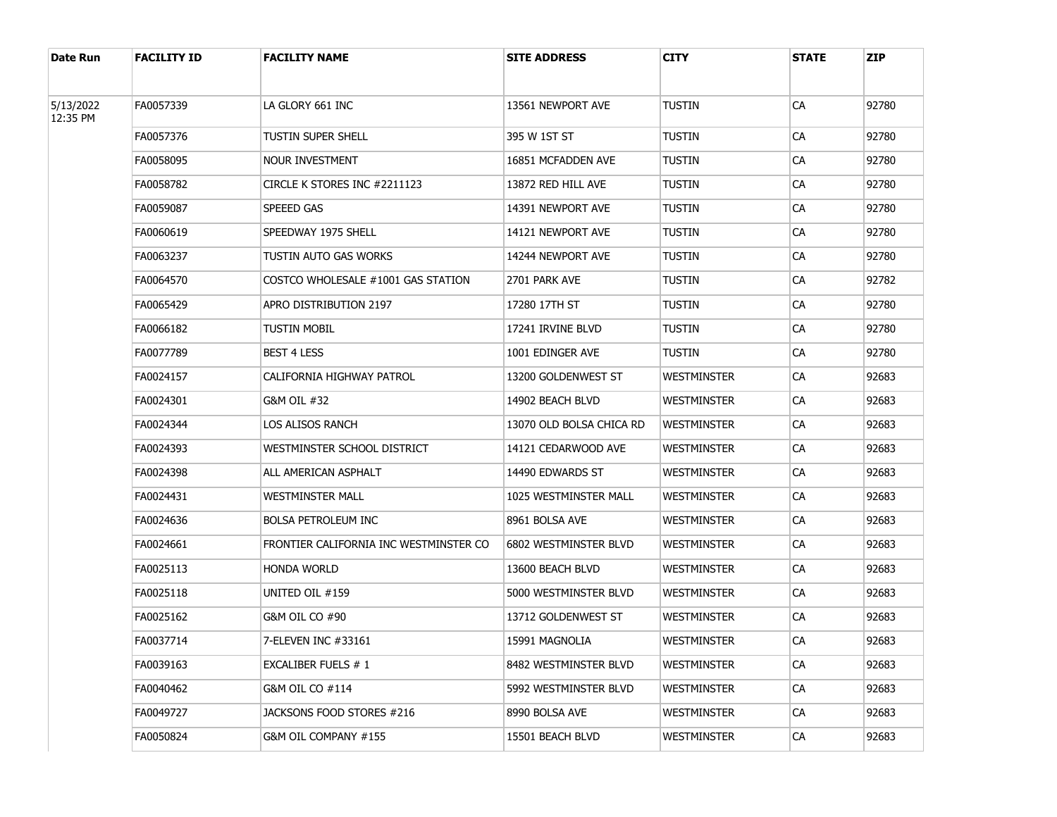| Date Run  | <b>FACILITY ID</b> | <b>FACILITY NAME</b>                   | <b>SITE ADDRESS</b>      | CITY        | <b>STATE</b> | <b>ZIP</b> |
|-----------|--------------------|----------------------------------------|--------------------------|-------------|--------------|------------|
| 5/13/2022 | FA0057339          | LA GLORY 661 INC                       | 13561 NEWPORT AVE        | TUSTIN      | CA           | 92780      |
| 12:35 PM  | FA0057376          | TUSTIN SUPER SHELL                     | 395 W 1ST ST             | TUSTIN      | CA           | 92780      |
|           | FA0058095          | NOUR INVESTMENT                        | 16851 MCFADDEN AVE       | TUSTIN      | CA           | 92780      |
|           | FA0058782          | CIRCLE K STORES INC #2211123           | 13872 RED HILL AVE       | TUSTIN      | CA           | 92780      |
|           | FA0059087          | <b>SPEEED GAS</b>                      | 14391 NEWPORT AVE        | TUSTIN      | CA           | 92780      |
|           | FA0060619          | SPEEDWAY 1975 SHELL                    | 14121 NEWPORT AVE        | TUSTIN      | CA           | 92780      |
|           | FA0063237          | TUSTIN AUTO GAS WORKS                  | 14244 NEWPORT AVE        | TUSTIN      | CA           | 92780      |
|           | FA0064570          | COSTCO WHOLESALE #1001 GAS STATION     | 2701 PARK AVE            | TUSTIN      | CA           | 92782      |
|           | FA0065429          | APRO DISTRIBUTION 2197                 | 17280 17TH ST            | TUSTIN      | CA           | 92780      |
|           | FA0066182          | tustin mobil                           | 17241 IRVINE BLVD        | TUSTIN      | CA           | 92780      |
|           | FA0077789          | <b>BEST 4 LESS</b>                     | 1001 EDINGER AVE         | tustin      | CA           | 92780      |
|           | FA0024157          | CALIFORNIA HIGHWAY PATROL              | 13200 GOLDENWEST ST      | Westminster | CA           | 92683      |
|           | FA0024301          | G&M OIL #32                            | 14902 BEACH BLVD         | Westminster | CA           | 92683      |
|           | FA0024344          | LOS ALISOS RANCH                       | 13070 OLD BOLSA CHICA RD | Westminster | CA           | 92683      |
|           | FA0024393          | WESTMINSTER SCHOOL DISTRICT            | 14121 CEDARWOOD AVE      | Westminster | CA           | 92683      |
|           | FA0024398          | ALL AMERICAN ASPHALT                   | 14490 EDWARDS ST         | Westminster | CA           | 92683      |
|           | FA0024431          | WESTMINSTER MALL                       | 1025 WESTMINSTER MALL    | Westminster | CA           | 92683      |
|           | FA0024636          | <b>BOLSA PETROLEUM INC</b>             | 8961 BOLSA AVE           | Westminster | CA           | 92683      |
|           | FA0024661          | FRONTIER CALIFORNIA INC WESTMINSTER CO | 6802 WESTMINSTER BLVD    | Westminster | CA           | 92683      |
|           | FA0025113          | <b>HONDA WORLD</b>                     | 13600 BEACH BLVD         | Westminster | CA           | 92683      |
|           | FA0025118          | UNITED OIL #159                        | 5000 WESTMINSTER BLVD    | Westminster | CA           | 92683      |
|           | FA0025162          | G&M OIL CO #90                         | 13712 GOLDENWEST ST      | westminster | СA           | 92683      |
|           | FA0037714          | 7-ELEVEN INC #33161                    | 15991 MAGNOLIA           | Westminster | СA           | 92683      |
|           | FA0039163          | EXCALIBER FUELS # 1                    | 8482 WESTMINSTER BLVD    | WESTMINSTER | <b>CA</b>    | 92683      |
|           | FA0040462          | G&M OIL CO #114                        | 5992 WESTMINSTER BLVD    | WESTMINSTER | CA           | 92683      |
|           | FA0049727          | JACKSONS FOOD STORES #216              | 8990 BOLSA AVE           | WESTMINSTER | <b>CA</b>    | 92683      |
|           | FA0050824          | G&M OIL COMPANY #155                   | 15501 BEACH BLVD         | Westminster | CA           | 92683      |
|           |                    |                                        |                          |             |              |            |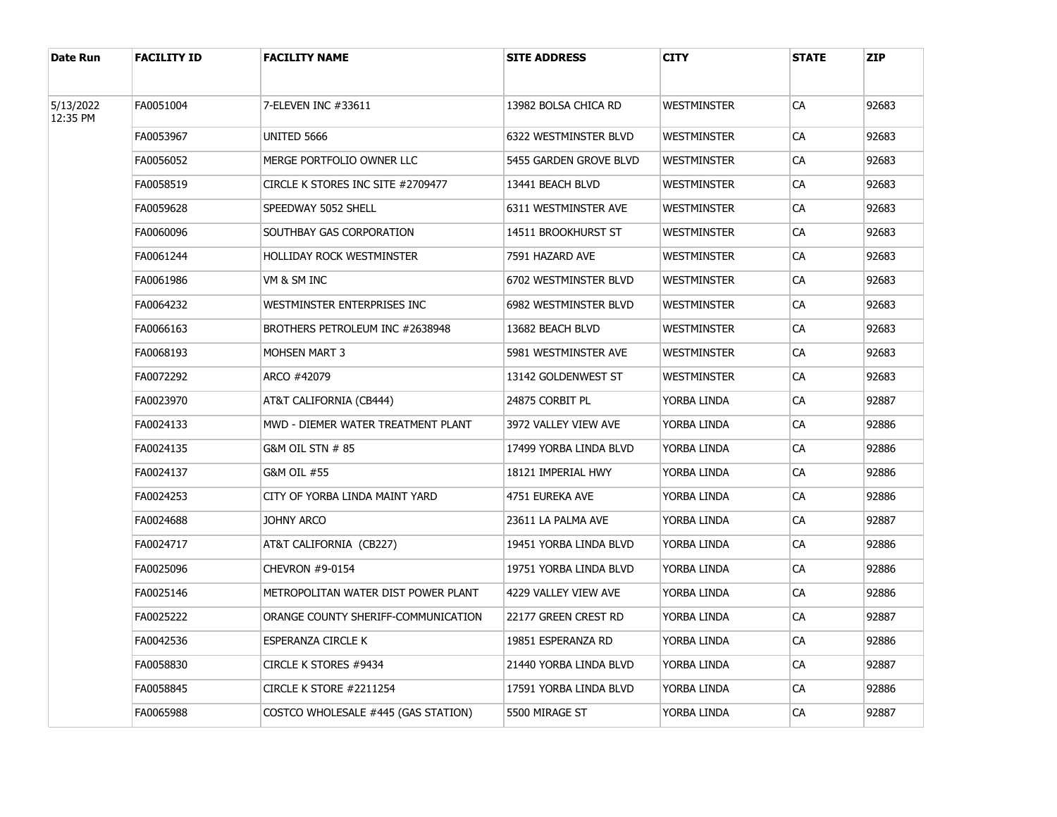| <b>Date Run</b>       | <b>FACILITY ID</b> | <b>FACILITY NAME</b>                | <b>SITE ADDRESS</b>          | <b>CITY</b>        | <b>STATE</b> | <b>ZIP</b> |
|-----------------------|--------------------|-------------------------------------|------------------------------|--------------------|--------------|------------|
| 5/13/2022<br>12:35 PM | FA0051004          | 7-ELEVEN INC #33611                 | 13982 BOLSA CHICA RD         | <b>WESTMINSTER</b> | СA           | 92683      |
|                       | FA0053967          | UNITED 5666                         | <b>6322 WESTMINSTER BLVD</b> | <b>WESTMINSTER</b> | CA           | 92683      |
|                       | FA0056052          | MERGE PORTFOLIO OWNER LLC           | 5455 GARDEN GROVE BLVD       | <b>WESTMINSTER</b> | СA           | 92683      |
|                       | FA0058519          | CIRCLE K STORES INC SITE #2709477   | 13441 BEACH BLVD             | <b>WESTMINSTER</b> | СA           | 92683      |
|                       | FA0059628          | SPEEDWAY 5052 SHELL                 | 6311 WESTMINSTER AVE         | <b>WESTMINSTER</b> | CA           | 92683      |
|                       | FA0060096          | SOUTHBAY GAS CORPORATION            | 14511 BROOKHURST ST          | <b>WESTMINSTER</b> | СA           | 92683      |
|                       | FA0061244          | HOLLIDAY ROCK WESTMINSTER           | 7591 HAZARD AVE              | Westminster        | СA           | 92683      |
|                       | FA0061986          | VM & SM INC                         | 6702 WESTMINSTER BLVD        | <b>WESTMINSTER</b> | СA           | 92683      |
|                       | FA0064232          | WESTMINSTER ENTERPRISES INC         | 6982 WESTMINSTER BLVD        | <b>WESTMINSTER</b> | СA           | 92683      |
|                       | FA0066163          | BROTHERS PETROLEUM INC #2638948     | 13682 BEACH BLVD             | <b>WESTMINSTER</b> | СA           | 92683      |
|                       | FA0068193          | <b>MOHSEN MART 3</b>                | 5981 WESTMINSTER AVE         | <b>WESTMINSTER</b> | СA           | 92683      |
|                       | FA0072292          | ARCO #42079                         | 13142 GOLDENWEST ST          | <b>WESTMINSTER</b> | СA           | 92683      |
|                       | FA0023970          | AT&T CALIFORNIA (CB444)             | 24875 CORBIT PL              | YORBA LINDA        | СA           | 92887      |
|                       | FA0024133          | MWD - DIEMER WATER TREATMENT PLANT  | 3972 VALLEY VIEW AVE         | YORBA LINDA        | СA           | 92886      |
|                       | FA0024135          | G&M OIL STN # 85                    | 17499 YORBA LINDA BLVD       | YORBA LINDA        | СA           | 92886      |
|                       | FA0024137          | G&M OIL #55                         | 18121 IMPERIAL HWY           | Yorba Linda        | СA           | 92886      |
|                       | FA0024253          | CITY OF YORBA LINDA MAINT YARD      | 4751 EUREKA AVE              | YORBA LINDA        | СA           | 92886      |
|                       | FA0024688          | JOHNY ARCO                          | 23611 LA PALMA AVE           | YORBA LINDA        | СA           | 92887      |
|                       | FA0024717          | AT&T CALIFORNIA(CB227)              | 19451 YORBA LINDA BLVD       | YORBA LINDA        | СA           | 92886      |
|                       | FA0025096          | CHEVRON #9-0154                     | 19751 YORBA LINDA BLVD       | YORBA LINDA        | СA           | 92886      |
|                       | FA0025146          | METROPOLITAN WATER DIST POWER PLANT | 4229 VALLEY VIEW AVE         | YORBA LINDA        | СA           | 92886      |
|                       | FA0025222          | ORANGE COUNTY SHERIFF-COMMUNICATION | 22177 GREEN CREST RD         | YORBA LINDA        | СA           | 92887      |
|                       | FA0042536          | ESPERANZA CIRCLE K                  | 19851 ESPERANZA RD           | YORBA LINDA        | СA           | 92886      |
|                       | FA0058830          | CIRCLE K STORES #9434               | 21440 YORBA LINDA BLVD       | YORBA LINDA        | СA           | 92887      |
|                       | FA0058845          | CIRCLE K STORE #2211254             | 17591 YORBA LINDA BLVD       | YORBA LINDA        | СA           | 92886      |
|                       | FA0065988          | COSTCO WHOLESALE #445 (GAS STATION) | 5500 MIRAGE ST               | Yorba linda        | СA           | 92887      |